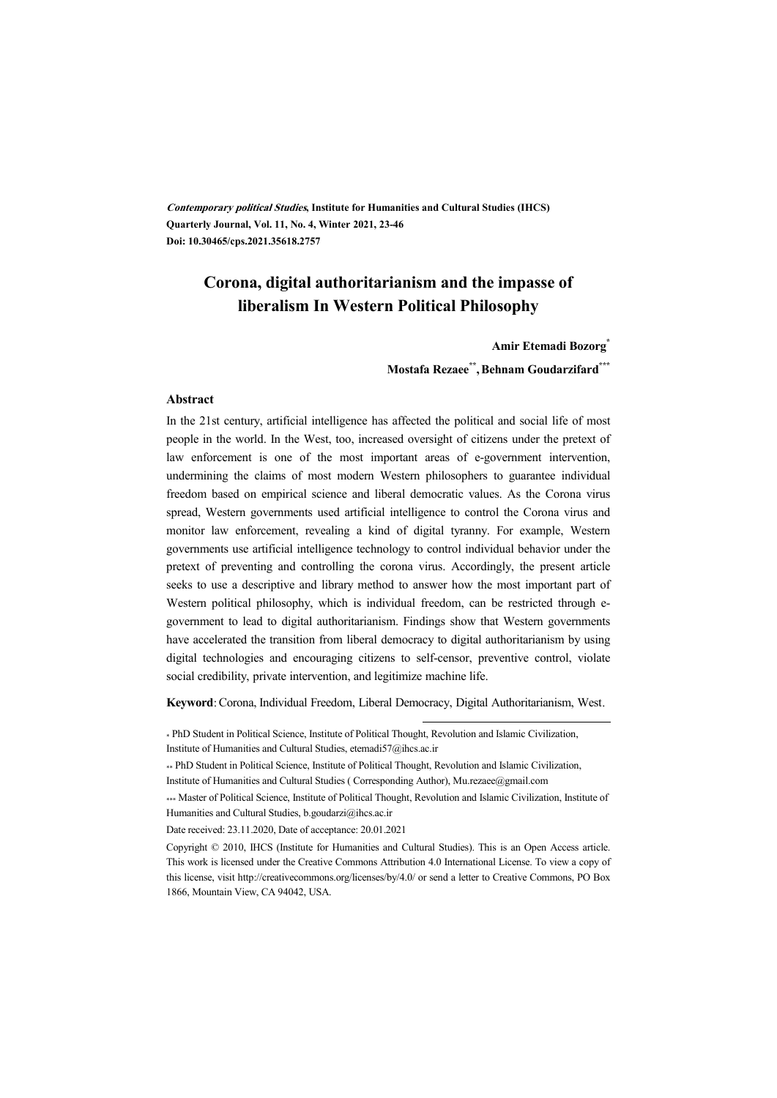**Contemporary political Studies, Institute for Humanities and Cultural Studies (IHCS) Quarterly Journal, Vol. 11, No. 4, Winter 2021, 23-46 Doi: 10.30465/cps.2021.35618.2757**

# **Corona, digital authoritarianism and the impasse of liberalism In Western Political Philosophy**

**Amir Etemadi Bozorg\* Mostafa Rezaee\*\* ,Behnam Goudarzifard\*\*\***

#### **Abstract**

In the 21st century, artificial intelligence has affected the political and social life of most people in the world. In the West, too, increased oversight of citizens under the pretext of law enforcement is one of the most important areas of e-government intervention, undermining the claims of most modern Western philosophers to guarantee individual freedom based on empirical science and liberal democratic values. As the Corona virus spread, Western governments used artificial intelligence to control the Corona virus and monitor law enforcement, revealing a kind of digital tyranny. For example, Western governments use artificial intelligence technology to control individual behavior under the pretext of preventing and controlling the corona virus. Accordingly, the present article seeks to use a descriptive and library method to answer how the most important part of Western political philosophy, which is individual freedom, can be restricted through egovernment to lead to digital authoritarianism. Findings show that Western governments have accelerated the transition from liberal democracy to digital authoritarianism by using digital technologies and encouraging citizens to self-censor, preventive control, violate social credibility, private intervention, and legitimize machine life.

**Keyword**: Corona, Individual Freedom, Liberal Democracy, Digital Authoritarianism, West.

:

\* PhD Student in Political Science, Institute of Political Thought, Revolution and Islamic Civilization, Institute of Humanities and Cultural Studies, etemadi57@ihcs.ac.ir

\*\* PhD Student in Political Science, Institute of Political Thought, Revolution and Islamic Civilization,

Institute of Humanities and Cultural Studies ( Corresponding Author), Mu.rezaee@gmail.com

\*\*\* Master of Political Science, Institute of Political Thought, Revolution and Islamic Civilization, Institute of Humanities and Cultural Studies, b.goudarzi@ihcs.ac.ir

Date received: 23.11.2020, Date of acceptance: 20.01.2021

Copyright © 2010, IHCS (Institute for Humanities and Cultural Studies). This is an Open Access article. This work is licensed under the Creative Commons Attribution 4.0 International License. To view a copy of this license, visit http://creativecommons.org/licenses/by/4.0/ or send a letter to Creative Commons, PO Box 1866, Mountain View, CA 94042, USA.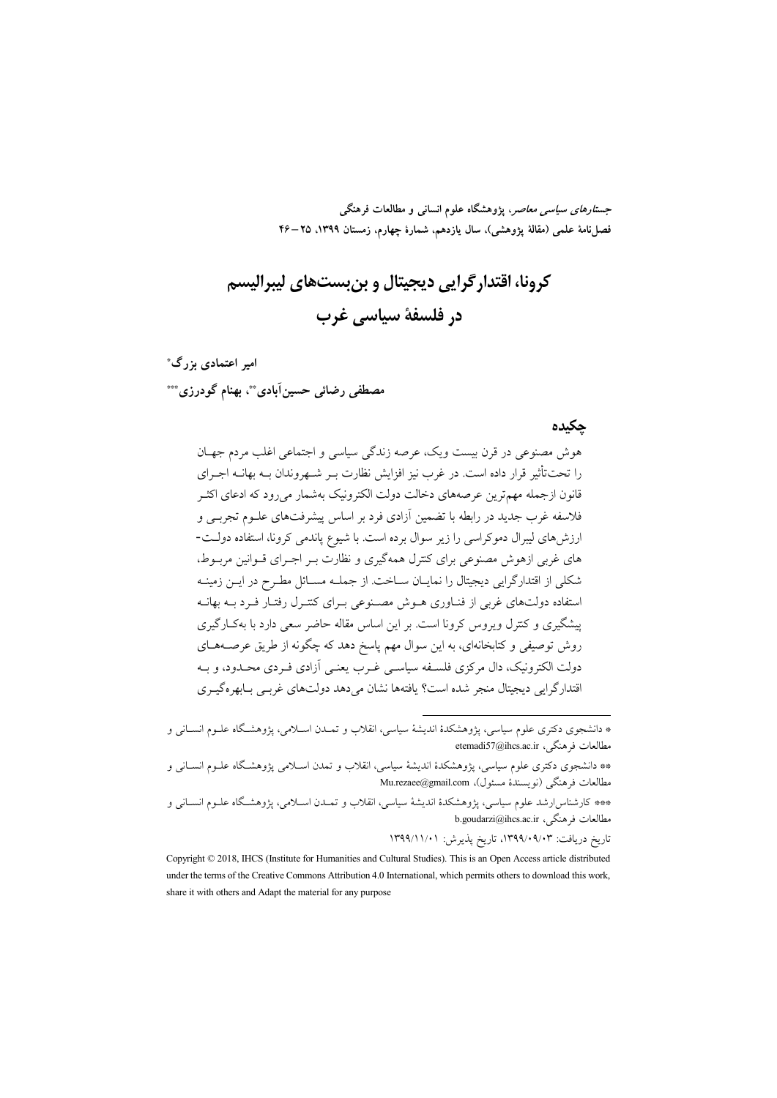جس*تارهای سیاسی معاصر*، پژوهشگاه علوم انسانی و مطالعات فرهنگی فصل نامة علمي (مقالة يژوهشي)، سال يازدهم، شمارة چهارم، زمستان ١٣٩٩، ٢٥–۴۶

کرونا، اقتدار گرایی دیجیتال و بن بستهای لیبرالیسم در فلسفة سياسي غرب

امیر اعتمادی بزرگ\* مصطفى رضائي حسين آبادي \*\*، بهنام گودرزي\*\*\*

#### جكيده

هوش مصنوعی در قرن بیست ویک، عرصه زندگی سیاسی و اجتماعی اغلب مردم جهـان را تحت تأثیر قرار داده است. در غرب نیز افزایش نظارت بـر شـهروندان بـه بهانــه اجــرای قانون ازجمله مهم ترین عرصههای دخالت دولت الکترونیک بهشمار می رود که ادعای اکثــر فلاسفه غرب جدید در رابطه با تضمین آزادی فرد بر اساس پیشرفتهای علــوم تجربــی و ارزش های لیبرال دموکراسی را زیر سوال برده است. با شیوع پاندمی کرونا، استفاده دولت-های غربی ازهوش مصنوعی برای کنترل همهگیری و نظارت بـر اجـرای قــوانین مربــوط، شکلی از اقتدارگرایی دیجیتال را نمایـان سـاخت از جملـه مسـائل مطـرح در ایــن زمینــه استفاده دولتهای غربی از فنـاوری هــوش مصــنوعی بــرای کنتــرل رفتــار فــرد بــه بهانــه پیشگیری و کنترل ویروس کرونا است. بر این اساس مقاله حاضر سعی دارد با بهکـارگیری روش توصیفی و کتابخانهای، به این سوال مهم پاسخ دهد که چگونه از طریق عرصــههــای دولت الکترونیک، دال مرکزی فلسـفه سیاسـی غـرب یعنـی آزادی فـردی محـدود، و بـه اقتدارگرایی دیجیتال منجر شده است؟ یافتهها نشان میدهد دولتهای غربے بابھرهگیـری

<sup>\*</sup> دانشجوی دکتری علوم سیاسی، پژوهشکدهٔ اندیشهٔ سیاسی، انقلاب و تمـدن اسـلامی، پژوهشـگاه علــوم انســانی و مطالعات فرهنگی، etemadi57@ihcs.ac.ir

<sup>\*\*</sup> دانشجوی دکتری علوم سیاسی، پژوهشکدهٔ اندیشهٔ سیاسی، انقلاب و تمدن اسـلامی پژوهشـگاه علــوم انســانی و مطالعات فرهنگی (نویسندهٔ مسئول)، Mu.rezaee@gmail.com

<sup>\*\*\*</sup> کارشناسارشد علوم سیاسی، پژوهشکدهٔ اندیشهٔ سیاسی، انقلاب و تمـدن اسـلامی، پژوهشـگاه علـوم انسـانی و b.goudarzi@ihcs.ac.ir ، فرهنگی، b.goudarzi@ihcs.ac.ir

Copyright © 2018, IHCS (Institute for Humanities and Cultural Studies). This is an Open Access article distributed under the terms of the Creative Commons Attribution 4.0 International, which permits others to download this work, share it with others and Adapt the material for any purpose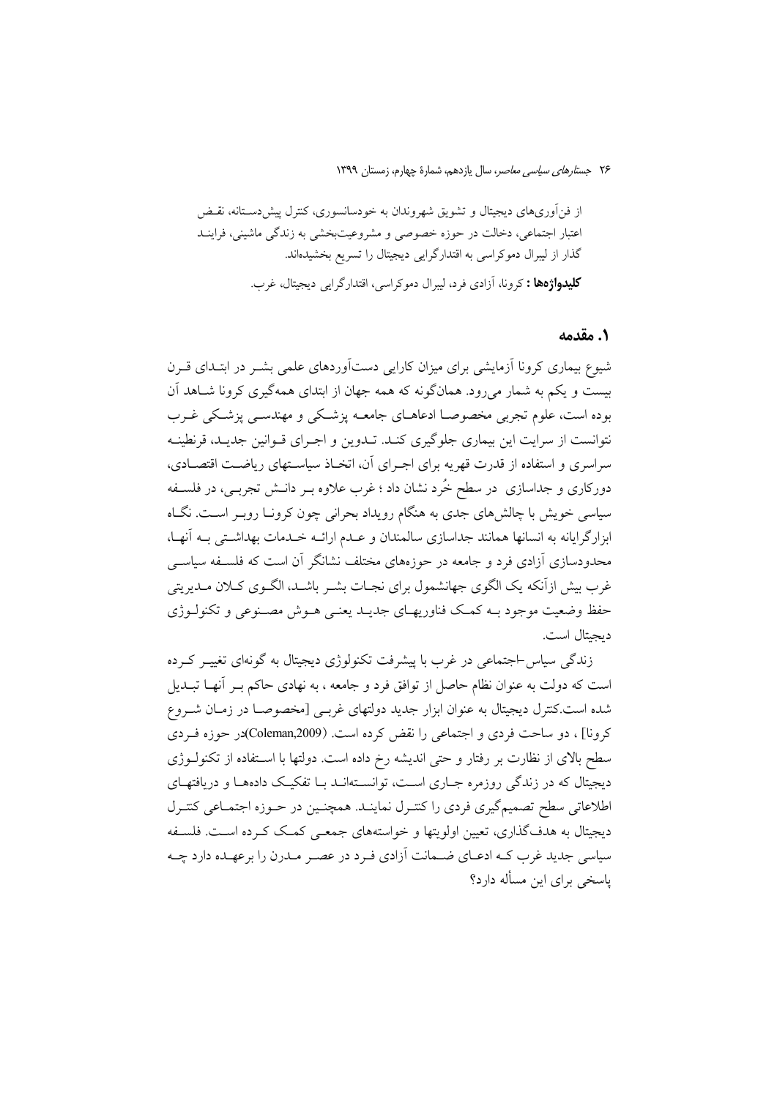از فنآوریهای دیجیتال و تشویق شهروندان به خودسانسوری، کنترل پیش دسـتانه، نقـض اعتبار اجتماعی، دخالت در حوزه خصوصی و مشروعیتبخشی به زندگی ماشینی، فراینــد گذار از لیبرال دموکراسی به اقتدارگرایی دیجیتال را تسریع بخشیدهاند. **کلیدواژهها :** کرونا، آزادی فرد، لیبرال دموکراسی، اقتدارگرایی دیجیتال، غرب.

#### 1. مقدمه

شیوع بیماری کرونا آزمایشی برای میزان کارایی دستآوردهای علمی بشـر در ابتـدای قـرن بیست و یکم به شمار میرود. همانگونه که همه جهان از ابتدای همهگیری کرونا شـاهد آن بوده است، علوم تجربی مخصوصـا ادعاهــای جامعــه پزشــکی و مهندســی پزشــکی غــرب نتوانست از سرایت این بیماری جلوگیری کنـد. تـدوین و اجـرای قـوانین جدیـد، قرنطینـه سراسری و استفاده از قدرت قهریه برای اجـرای آن، اتخـاذ سیاسـتهای ریاضـت اقتصـادی، دورکاری و جداسازی ً در سطح خُرد نشان داد ؛ غرب علاوه بــر دانــش تجربــی، در فلســفه سیاسی خویش با چالش های جدی به هنگام رویداد بحرانی چون کرونـا روبـر اسـت. نگــاه ابزارگرایانه به انسانها همانند جداسازی سالمندان و عـدم ارائــه خـدمات بهداشـتی بــه آنهـا، محدودسازی آزادی فرد و جامعه در حوزههای مختلف نشانگر آن است که فلسـفه سیاســی غرب بیش ازآنکه یک الگوی جهانشمول برای نجـات بشـر باشـد، الگـوی کـلان مـدیریتی حفظ وضعیت موجود بــه کمــک فناوریهــای جدیــد یعنــی هــوش مصــنوعی و تکنولــوژی دبجيتال است.

زندگی سیاس-اجتماعی در غرب با پیشرفت تکنولوژی دیجیتال به گونهای تغییـر کـرده است که دولت به عنوان نظام حاصل از توافق فرد و جامعه ، به نهادی حاکم بـر أنهــا تبــديل شده است.کنترل دیجیتال به عنوان ابزار جدید دولتهای غربـی [مخصوصـا در زمـان شــروع كرونا] ، دو ساحت فردي و اجتماعي را نقض كرده است. (Coleman,2009)در حوزه فيردي سطح بالای از نظارت بر رفتار و حتی اندیشه رخ داده است. دولتها با استفاده از تکنولـوژی دیجیتال که در زندگی روزمره جباری است، توانستهانید بیا تفکیک دادهها و دریافتهای اطلاعاتی سطح تصمیم گیری فردی را کنتیرل نماینید. همچنین در حیوزه اجتمیاعی کنتیرل ديجيتال به هدفگذاري، تعيين اولويتها و خواستههاي جمعـي كمـک کـرده اسـت. فلسـفه سیاسی جدید غرب کـه ادعــای ضــمانت آزادی فـرد در عصـر مــدرن را برعهــده دارد چــه پاسخی برای این مسأله دارد؟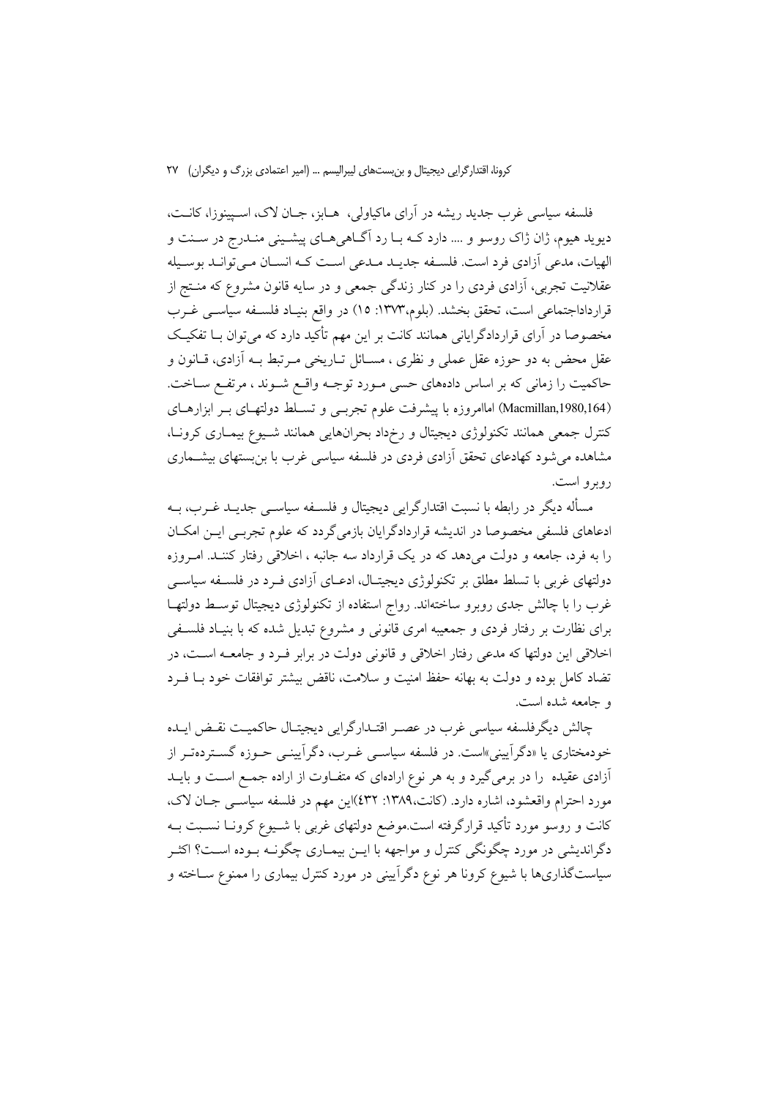فلسفه سیاسی غرب جدید ریشه در آرای ماکیاولی، هــابز، جــان لاک، اســیینوزا، کانــت، ديويد هيوم، ژان ژاک روسو و .... دارد کـه بـا رد اَگـاهي هـاي پيشـيني منـدرج در سـنت و الهيات، مدعى أزادي فرد است. فلسـفه جديـد مـدعى اسـت كـه انسـان مـىتوانـد بوسـيله عقلانیت تجربی، آزادی فردی را در کنار زندگی جمعی و در سایه قانون مشروع که منــتج از قرارداداجتماعی است، تحقق بخشد. (بلوم،۱۳۷۳: ۱۵) در واقع بنیـاد فلسـفه سیاسـی غــرب مخصوصا در آرای قراردادگرایانی همانند کانت بر این مهم تأکید دارد که می توان بــا تفکیــک عقل محض به دو حوزه عقل عملي و نظري ، مســائل تــاريخي مــرتبط بــه أزادي، قــانون و حاکمیت را زمانی که بر اساس دادههای حسی مـورد توجـه واقـع شـوند ، مرتفـع سـاخت. (Macmillan,1980,164) اماامروزه با پیشرفت علوم تجربسی و تسلط دولتهای بـر ابزارهـای کنترل جمعی همانند تکنولوژی دیجیتال و رخرداد بحرانهایی همانند شـیوع بیمـاری کرونـا، مشاهده می شود کهادعای تحقق آزادی فردی در فلسفه سیاسی غرب با بن بستهای بیشــماری روبرو است.

مسأله دیگر در رابطه با نسبت اقتدارگرایی دیجیتال و فلســفه سیاســی جدیــد غــرب، بــه ادعاهای فلسفی مخصوصا در اندیشه قراردادگرایان بازمیگردد که علوم تجربـی ایــن امکــان را به فرد، جامعه و دولت میدهد که در یک قرارداد سه جانبه ، اخلاقی رفتار کننـد. امـروزه دولتهای غربی با تسلط مطلق بر تکنولوژی دیجیتـال، ادعــای آزادی فــرد در فلســفه سیاســی غرب را با چالش جدی روبرو ساختهاند. رواج استفاده از تکنولوژی دیجیتال توسط دولتهـا برای نظارت بر رفتار فردی و جمعیبه امری قانونی و مشروع تبدیل شده که با بنیـاد فلسـفی اخلاقی این دولتها که مدعی رفتار اخلاقی و قانونی دولت در برابر فـرد و جامعـه اسـت، در تضاد كامل بوده و دولت به بهانه حفظ امنیت و سلامت، ناقض پیشتر توافقات خود بـا فـرد و جامعه شده است.

چالش دیگرفلسفه سیاسی غرب در عصـر اقتـدارگرایی دیجیتـال حاکمیـت نقـض ایـده خودمختاری یا «دگرآیینی»است. در فلسفه سیاسـی غــرب، دگرآیینــی حــوزه گســتردهتــر از آزادی عقیده ً را در برمی گیرد و به هر نوع ارادهای که متفـاوت از اراده جمـع اسـت و بایــد مورد احترام واقعشود، اشاره دارد. (کانت،۱۳۸۹: ٤٣٢)این مهم در فلسفه سیاســی جــان لاک، کانت و روسو مورد تأکید قرارگرفته است.موضع دولتهای غربی با شـیوع کرونــا نســبت بــه دگراندیشی در مورد چگونگی کنترل و مواجهه با ایــن بیمــاری چگونــه بــوده اســت؟ اکثــر سیاستگذاریها با شیوع کرونا هر نوع دگرآیینی در مورد کنترل بیماری را ممنوع سـاخته و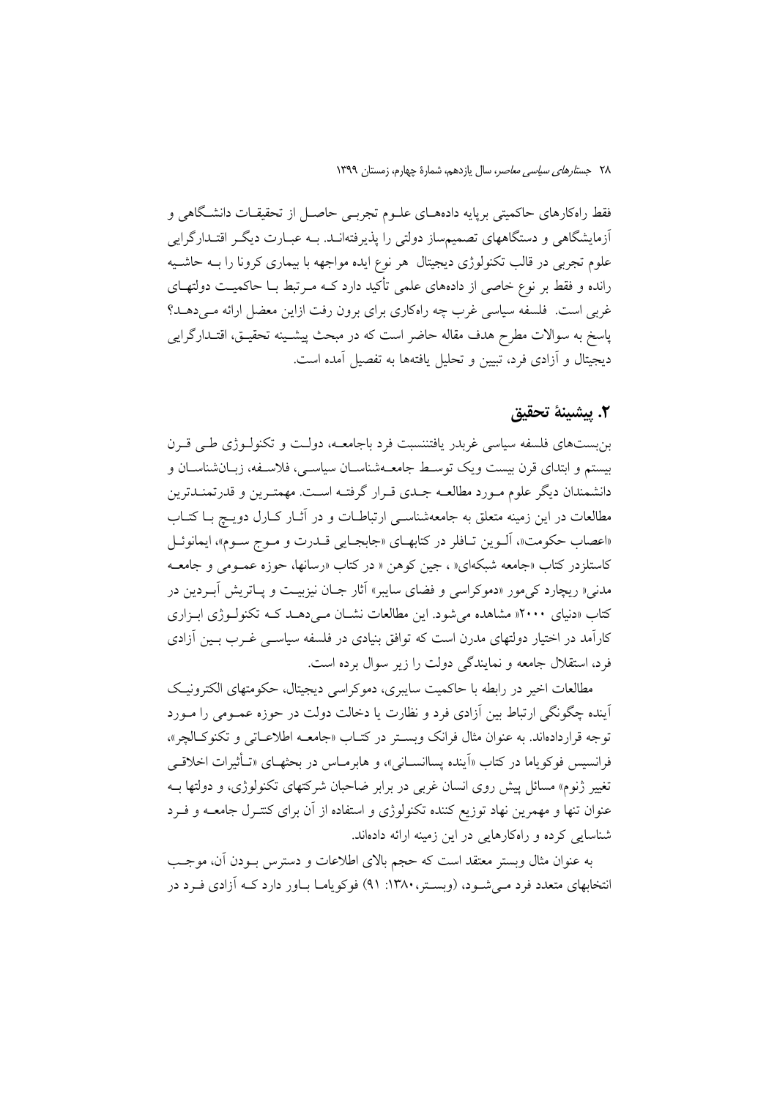فقط راهکارهای حاکمیتی برپایه دادههـای علــوم تجربــی حاصــل از تحقیقــات دانشــگاهی و آزمایشگاهی و دستگاههای تصمیمساز دولتی را پذیرفتهانــد. بــه عبــارت دیگــر اقتــدارگرایی علوم تجربی در قالب تکنولوژی دیجیتال هر نوع ایده مواجهه با بیماری کرونا را بـه حاشـیه رانده و فقط بر نوع خاصی از دادههای علمی تأکید دارد کـه مـرتبط بـا حاکمیـت دولتهـای غربی است. فلسفه سیاسی غرب چه راهکاری برای برون رفت ازاین معضل ارائه مـیدهـد؟ ياسخ به سوالات مطرح هدف مقاله حاضر است كه در مبحث ييشـينه تحقيـق، اقتـدارگرايي ديجيتال و آزادي فرد، تبيين و تحليل يافتهها به تفصيل آمده است.

### ٢. يبشينة تحقيق

بن بستهای فلسفه سیاسی غربدر یافتننسبت فرد باجامعـه، دولـت و تکنولــوژی طــی قــرن بیستم و ابتدای قرن بیست ویک توسط جامعـهشناسـان سیاسـی، فلاسـفه، زبـانشناسـان و دانشمندان دیگر علوم مـورد مطالعــه جــدي قــرار گرفتــه اســت. مهمتــرين و قدرتمنــدترين مطالعات در این زمینه متعلق به جامعهشناسـی ارتباطـات و در آثـار کـارل دویـچ بـا کتـاب «اعصاب حكومت»، ألـوين تـافلر در كتابهـاي «جابجـايي قــدرت و مـوج سـوم»، ايمانوئـل کاستلزدر کتاب «جامعه شبکهای« ، جین کوهن « در کتاب «رسانها، حوزه عمـومی و جامعـه مدنی« ریچارد کیمور «دموکراسی و فضای سایبر» آثار جـان نیزبیـت و پـاتریش آبـردین در کتاب «دنیای ۱۲۰۰۰ مشاهده می شود. این مطالعات نشـان مـی دهـد کـه تکنولـوژی ابـزاری کارآمد در اختیار دولتهای مدرن است که توافق بنیادی در فلسفه سیاســی غــرب بــین آزادی فرد، استقلال جامعه و نمایندگی دولت را زیر سوال برده است.

مطالعات اخیر در رابطه با حاکمیت سایبری، دموکراسی دیجیتال، حکومتهای الکترونیک .<br>آینده چگونگی ارتباط بین اَزادی فرد و نظارت یا دخالت دولت در حوزه عمـومی را مـورد توجه قراردادهاند. به عنوان مثال فرانک وبستر در کتـاب «جامعــه اطلاعــاتی و تکنوکــالچر»، فرانسیس فوکو یاما در کتاب «اَینده پساانســانی»، و هابرمــاس در بحثهــای «تــأثیرات اخلاقــی تغییر ژنوم» مسائل پیش روی انسان غربی در برابر ضاحبان شرکتهای تکنولوژی، و دولتها بــه عنوان تنها و مهمرین نهاد توزیع کننده تکنولوژی و استفاده از آن برای کنتـرل جامعــه و فــرد شناسایی کرده و راهکارهایی در این زمینه ارائه دادهاند.

به عنوان مثال وبستر معتقد است كه حجم بالاي اطلاعات و دسترس بـودن آن، موجـب انتخابهای متعدد فرد مـی شـود، (وبسـتر،۱۳۸۰: ۹۱) فوکویامـا بـاور دارد کـه آزادی فـرد در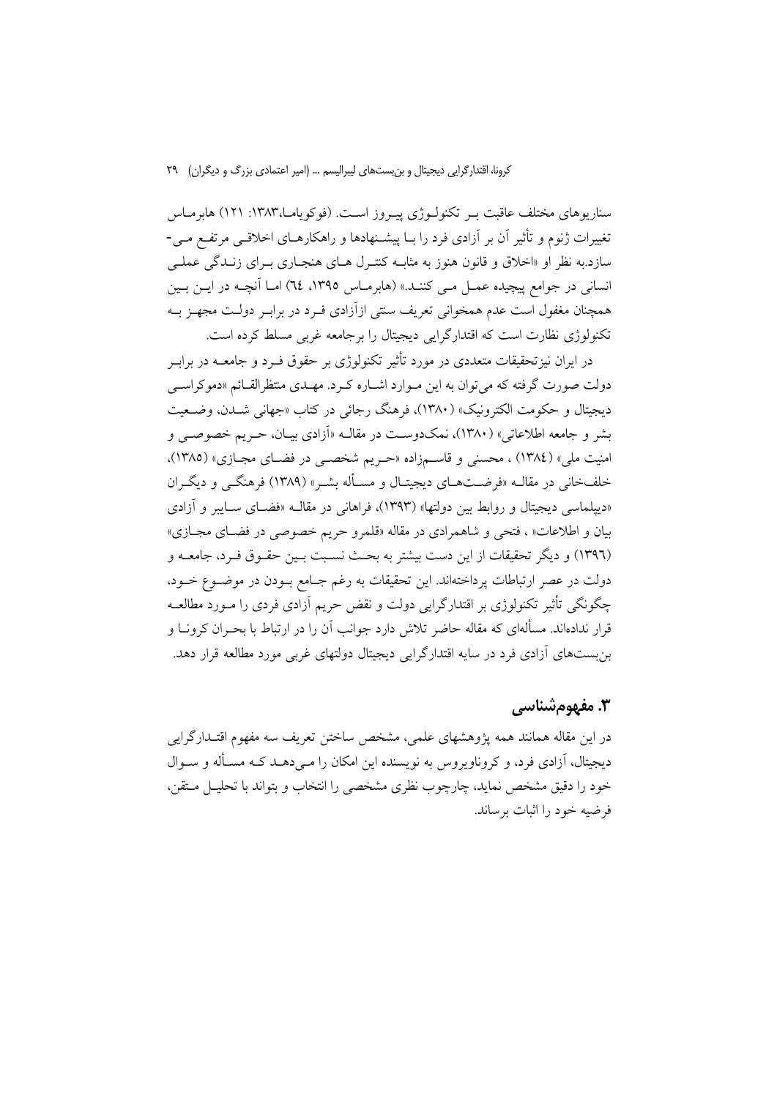سناریوهای مختلف عاقبت بـر تکنولـوژی پیـروز اسـت. (فوکویامـا،۱۳۸۳: ۱۲۱) هابرمـاس تغییرات ژنوم و تأثیر آن بر آزادی فرد را بـا پیشـنهادها و راهکارهـای اخلاقـی مرتفـع مـی-سازد.به نظر او «اخلاق و قانون هنوز به مثابـه كنتـرل هـاى هنجـارى بـراى زنــدگى عملـى انسانی در جوامع پیچیده عمـل مـی کننـد.» (هابرمـاس ١٣٩٥، ٦٤) امـا آنچـه در ایــن بــین همچنان مغفول است عدم همخوانی تعریف سنتی ازآزادی فـرد در برابـر دولـت مجهـز بــه تکنولوژی نظارت است که اقتدارگرایی دیجیتال را برجامعه غربی مسلط کرده است.

در ایران نیز تحقیقات متعددی در مورد تأثیر تکنولوژی بر حقوق فــرد و جامعــه در برابــر دولت صورت گرفته که می توان به این مـوارد اشـاره کـرد. مهـدي منتظرالقـائم «دموکراسـی ديجيتال و حكومت الكترونيك» (١٣٨٠)، فرهنگ رجائي در كتاب «جهاني شــدن، وضــعيت بشر و جامعه اطلاعاتی» (۱۳۸۰)، نمکدوست در مقالــه «آزادی بیــان، حــریم خصوصــی و امنیت ملی» (١٣٨٤) ، محسنی و قاسـمزاده «حـریم شخصــی در فضــای مجـازی» (١٣٨٥)، خلفخانی در مقالــه «فرضــتهــای دیجیتــال و مســأله بشــر» (۱۳۸۹) فرهنگــی و دیگــران «دیپلماسی دیجیتال و روابط بین دولتها» (۱۳۹۳)، فراهانی در مقالـه «فضـای سـایبر و آزادی بیان و اطلاعات« ، فتحی و شاهمرادی در مقاله «قلمرو حریم خصوصی در فضـای مجـازی» (١٣٩٦) و ديگر تحقيقات از اين دست بيشتر به بحـث نسـبت بـين حقـوق فـرد، جامعــه و دولت در عصر ارتباطات پرداختهاند. این تحقیقات به رغم جـامع بـودن در موضـوع خـود، چگونگی تأثیر تکنولوژی بر اقتدارگرایی دولت و نقض حریم آزادی فردی را مـورد مطالعـه قرار ندادهاند. مسألهای که مقاله حاضر تلاش دارد جوانب آن را در ارتباط با بحـران کرونــا و بن بستهای آزادی فرد در سایه اقتدارگرایی دیجیتال دولتهای غربی مورد مطالعه قرار دهد.

# ۳. مفهومشناسی

در این مقاله همانند همه یژوهشهای علمی، مشخص ساختن تعریف سه مفهوم اقتـدارگرایی دیجیتال، آزادی فرد، و کروناویروس به نویسنده این امکان را مـی۵هـد کـه مسـأله و سـوال خود را دقیق مشخص نماید، چارچوب نظری مشخصی را انتخاب و بتواند با تحلیـل مـتقن، فرضيه خود را اثبات برساند.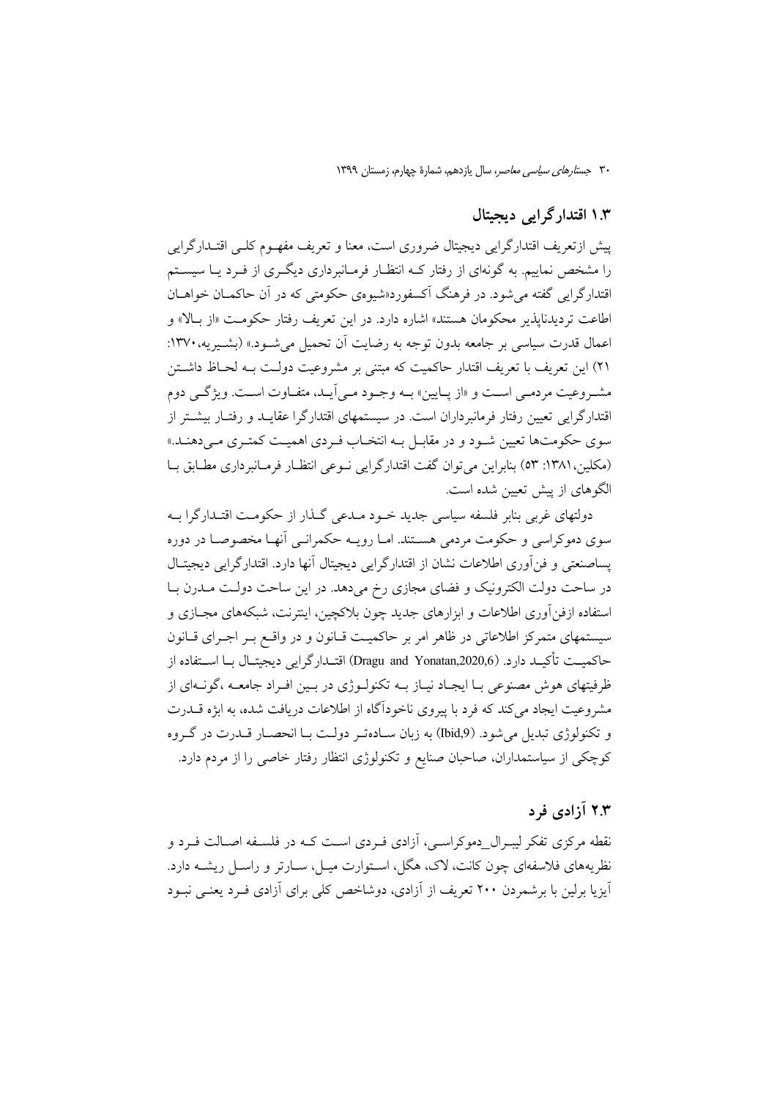## ۱.۳ اقتدار گرایی دیجیتال

ييش ازتعريف اقتدارگرايي ديجيتال ضروري است، معنا و تعريف مفهـوم كلـي اقتـدارگرايي را مشخص نماییم. به گونهای از رفتار کـه انتظـار فرمـانبرداری دیگـری از فـرد یـا سیسـتم اقتدار گرایی گفته می شود. در فرهنگ آکسفور د«شبوهی حکومتی که در آن حاکمیان خواهیان اطاعت تردیدنایذیر محکومان هستند» اشاره دارد. در این تعریف رفتار حکومـت «از بـالا» و اعمال قدرت سیاسی بر جامعه بدون توجه به رضایت اَن تحمیل می شــود.» (بشــیریه، ۱۳۷۰: ٢١) این تعریف با تعریف اقتدار حاکمیت که مبتنی بر مشروعیت دولت بـه لحــاظ داشــتن مشیر وعیت مردمبی است و «از پیایین» بیه وجبود مبی آیید، متفیاوت است. ویژگی دوم اقتدارگرایی تعیین رفتار فرمانبرداران است. در سیستمهای اقتدارگرا عقایـد و رفتـار بیشـتر از سوی حکومتها تعیین شـود و در مقابـل بـه انتخـاب فـردی اهمیـت کمتـری مـی،دهنـد.» (مكلين، ١٣٨١: ٥٣) بنابراين مي توان گفت اقتدارگرايي نـوعي انتظـار فرمـانبرداري مطـابق بـا الگوهای از پیش تعیین شده است.

دولتهای غربی بنابر فلسفه سیاسی جدید خـود مـدعی گـذار از حکومـت اقتـدارگرا بــه سوی دموکراسی و حکومت مردمی هســتند. امــا رویــه حکمرانــی آنهــا مخصوصــا در دوره یساصنعتی و فن آوری اطلاعات نشان از اقتدارگرایی دیجیتال آنها دارد. اقتدارگرایی دیجیتـال در ساحت دولت الکترونیک و فضای مجازی رخ میدهد. در این ساحت دولت مـدرن بـا استفاده ازفن آوري اطلاعات و ابزارهاي جديد چون بلاكچين، اينترنت، شبكههاي مجــازي و سیستمهای متمرکز اطلاعاتی در ظاهر امر بر حاکمیت قـانون و در واقـع بـر اجـرای قـانون حاكميــت تأكيــد دارد. (Dragu and Yonatan,2020,6) اقتــدارگرايي ديجيتــال بــا اســتفاده از ظرفیتهای هوش مصنوعی بـا ایجـاد نیـاز بــه تکنولــوژی در بــین افــراد جامعــه ،گونــهای از مشروعیت ایجاد می کند که فرد با پیروی ناخودآگاه از اطلاعات دریافت شده، به ابژه قـــدرت و تکنولوژي تبديل مي شود. (Ibid,9) به زبان ســادهتـر دولـت بــا انحصــار قــدرت در گــروه کوچکی از سیاستمداران، صاحبان صنایع و تکنولوژی انتظار رفتار خاصی را از مردم دارد.

# ۲.۳ آزادی فرد

نقطه مرکزی تفکر لیبـرال\_دموکراسـی، آزادی فـردی اسـت کـه در فلسـفه اصـالت فـرد و نظریههای فلاسفهای چون کانت، لاک، هگل، اسـتوارت میـل، ســارتر و راســل ریشــه دارد. آیزیا برلین با برشمردن ۲۰۰ تعریف از آزادی، دوشاخص کلی برای آزادی فـرد یعنـی نبـود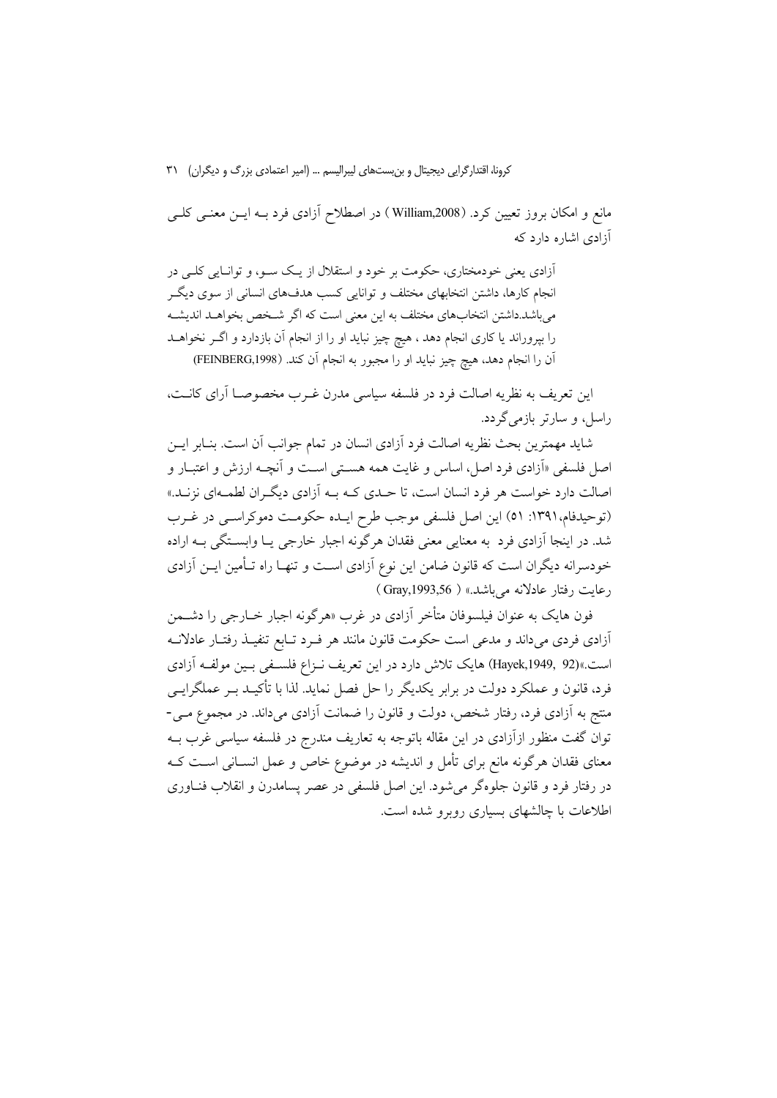مانع و امکان بروز تعیین کرد. (William,2008) در اصطلاح آزادی فرد بــه ایــن معنــی کلــی آزادی اشاره دارد که

آزادی یعنی خودمختاری، حکومت بر خود و استقلال از یک سـو، و توانـایی کلـی در انجام کارها، داشتن انتخابهای مختلف و توانایی کسب هدفهای انسانی از سوی دیگ مى باشد.داشتن انتخابهاى مختلف به اين معنى است كه اگر شـخص بخواهـد انديشـه را بیروراند یا کاری انجام دهد ، هیچ چیز نباید او را از انجام آن بازدارد و اگـر نخواهــد آن را انجام دهد، هيچ چيز نبايد او را مجبور به انجام آن كند. (FEINBERG,1998)

این تعریف به نظریه اصالت فرد در فلسفه سیاسی مدرن غـرب مخصوصــا آرای کانــت، راسل، و سارتر بازمیگردد.

شاید مهمترین بحث نظریه اصالت فرد آزادی انسان در تمام جوانب آن است. بنـابر ایــن اصل فلسفی «آزادی فرد اصل، اساس و غایت همه هستی است و آنچــه ارزش و اعتبــار و اصالت دارد خواست هر فرد انسان است، تا حـدي كـه بـه آزادي ديگـران لطمـهاي نزنـد.» (توحیدفام،١٣٩١: ٥١) این اصل فلسفی موجب طرح ایـده حکومـت دموکراسـی در غـرب شد. در اینجا اَزادی فرد به معنایی معنی فقدان هرگونه اجبار خارجی یـا وابسـتگی بــه اراده خودسرانه دیگران است که قانون ضامن این نوع آزادی اسـت و تنهـا راه تـأمین ایــن آزادی رعايت رفتار عادلانه مي باشد.» ( Gray,1993,56 )

فون هایک به عنوان فیلسوفان متأخر آزادی در غرب «هرگونه اجبار خــارجی را دشــمن .<br>آزادی فردی می داند و مدعی است حکومت قانون مانند هر فـرد تــابع تنفیــذ رفتــار عادلانــه است.»(Hayek,1949, 92) هایک تلاش دارد در این تعریف نـزاع فلسـفی بـین مولفـه آزادی فرد، قانون و عملکرد دولت در برابر یکدیگر را حل فصل نماید. لذا با تأکیـد بـر عملگرایــی منتج به آزادی فرد، رفتار شخص، دولت و قانون را ضمانت آزادی میداند. در مجموع مـی-توان گفت منظور ازآزادی در این مقاله باتوجه به تعاریف مندرج در فلسفه سیاسی غرب بــه معنای فقدان هرگونه مانع برای تأمل و اندیشه در موضوع خاص و عمل انســانی اسـت کــه در رفتار فرد و قانون جلوهگر می شود. این اصل فلسفی در عصر پسامدرن و انقلاب فنــاوری اطلاعات با چالشهای بسیاری روبرو شده است.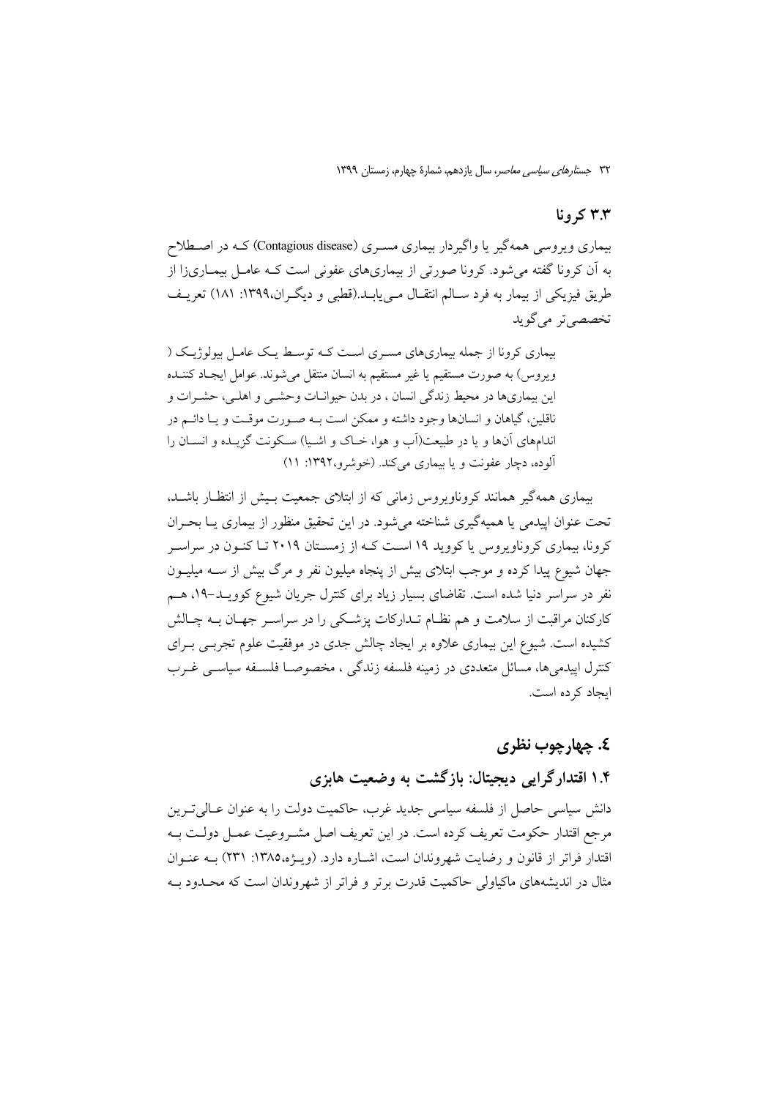## ۳.۳ کرونا

بیماری ویروسی همهگیر یا واگیردار بیماری مسـری (Contagious disease) کـه در اصـطلاح به اّن کرونا گفته می شود. کرونا صورتی از بیماریهای عفونی است کـه عامــل بیمــاری(ا از طریق فیزیکی از بیمار به فرد سـالم انتقـال مـی بابـد.(قطبی و دیگـران،۱۳۹۹: ۱۸۱) تعریـف تخصصي تر مي گويد

بیماری کرونا از جمله بیماریهای مسـری اسـت کـه توسـط یـک عامـل بیولوژیـک ( ويروس) به صورت مستقيم يا غير مستقيم به انسان منتقل مي شوند. عوامل ايجباد كننــده این بیماریها در محیط زندگی انسان ، در بدن حیوانـات وحشـی و اهلـی، حشـرات و ناقلین، گیاهان و انسانها وجود داشته و ممکن است بـه صـورت موقـت و یـا دائـم در اندامهای آنها و یا در طبیعت(آب و هوا، خباک و اشبیا) سکونت گزینده و انستان را آلوده، دچار عفونت و یا بیماری می کند. (خوشرو،۱۳۹۲: ۱۱)

بیماری همهگیر همانند کروناویروس زمانی که از ابتلای جمعیت بـیش از انتظـار باشـد. تحت عنوان ایپدمی یا همیهگیری شناخته می شود. در این تحقیق منظور از بیماری پــا بحــران کرونا، بیماری کروناویروس یا کووید ۱۹ است کـه از زمسـتان ۲۰۱۹ تـا کنـون در سراسـر جهان شیوع پیدا کرده و موجب ابتلای بیش از پنجاه میلیون نفر و مرگ بیش از ســه میلیــون نفر در سراسر دنیا شده است. تقاضای بسیار زیاد برای کنترل جریان شیوع کوویـد–۱۹، هــم کارکنان مراقبت از سلامت و هم نظـام تــدارکات پزشــکی را در سراســر جهــان بــه چــالش کشیده است. شیوع این بیماری علاوه بر ایجاد چالش جدی در موفقیت علوم تجربـی بــرای کنترل اییدمی ها، مسائل متعددی در زمینه فلسفه زندگی ، مخصوصـا فلسـفه سیاسـی غـرب ابجاد کر ده است.

## **£. ڇهارچوب نظري**

# ۱.۴ اقتدارگرایی دیجیتال: بازگشت به وضعیت هابزی

دانش سیاسی حاصل از فلسفه سیاسی جدید غرب، حاکمیت دولت را به عنوان عــالی تــرین مرجع اقتدار حکومت تعریف کرده است. در این تعریف اصل مشـروعیت عمـل دولـت بـه اقتدار فراتر از قانون و رضایت شهروندان است، اشـاره دارد. (ویـژه،١٣٨٥: ٢٣١) بــه عنــوان مثال در اندیشههای ماکیاولی حاکمیت قدرت برتر و فراتر از شهروندان است که محـدود بـه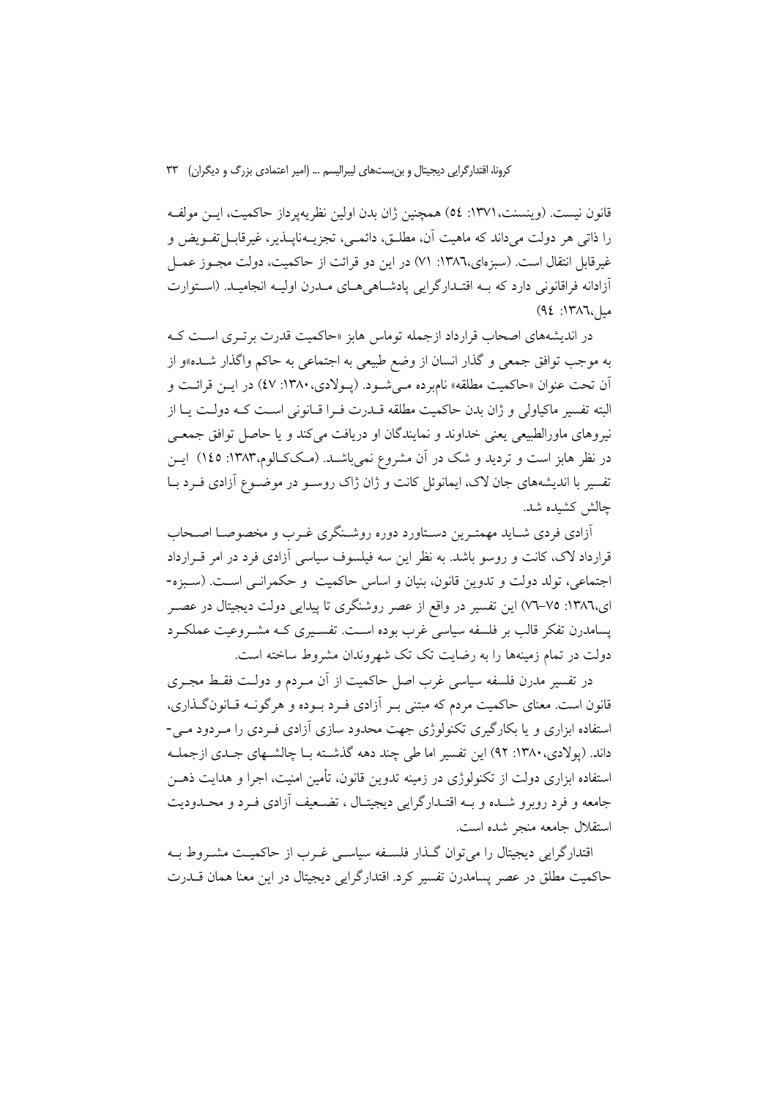قانون نيست. (وينسنت، ١٣٧١: ٥٤) همچنين ژان بدن اولين نظريهيرداز حاكميت، ايــن مولفــه را ذاتی هر دولت میداند که ماهیت آن، مطلــق، دائمــی، تجزیــهنایــذیر، غیرقابــل تفــویض و غیر قابل انتقال است. (سبزهای،۱۳۸٦: ۷۱) در این دو قرائت از حاکمیت، دولت مجـوز عمـل أزادانه فراقانوني دارد كه بـه اقتـدارگرايي يادشـاهيهـاي مـدرن اوليـه انجاميـد. (اسـتوارت مبل ١٣٨٦: ٩٤)

در اندیشههای اصحاب قرارداد ازجمله توماس هابز «حاکمیت قدرت برتری است کـه به موجب توافق جمعی و گذار انسان از وضع طبیعی به اجتماعی به حاکم واگذار شــده»و از آن تحت عنوان «حاكميت مطلقه» نامبرده مـي شـود. (يـولادي، ١٣٨٠: ٤٧) در ايـن قرائـت و البته تفسير ماكياولي و ژان بدن حاكميت مطلقه قــدرت فــرا قــانوني اســت كــه دولــت يــا از نیروهای ماورالطبیعی یعنی خداوند و نمایندگان او دریافت می کند و یا حاصل توافق جمعـی در نظر هابز است و تردید و شک در آن مشروع نمیباشـد. (مـککـالوم،۱۳۸۳: ۱٤٥) ایـن تفسیر با اندیشههای جان لاک، ایمانوئل کانت و ژان ژاک روسـو در موضـوع آزادی فـرد بـا چالش كشىدە شد.

أزادي فردي شـايد مهمتـرين دسـتاورد دوره روشـنگري غـرب و مخصوصـا اصـحاب قرارداد لاک، کانت و روسو باشد. به نظر این سه فیلسوف سیاسی آزادی فرد در امر قـرارداد اجتماعی، تولد دولت و تدوین قانون، بنیان و اساس حاکمیت و حکمرانـی اسـت. (سـبزه-ای،۱۳۸٦: ۷۵–۷۷) این تفسیر در واقع از عصر روشنگری تا پیدایی دولت دیجیتال در عصـر یسامدرن تفکر قالب بر فلسفه سیاسی غرب بوده اسـت. تفسـیری کـه مشـروعیت عملکـرد دولت در تمام زمینهها را به رضایت تک تک شهروندان مشروط ساخته است.

در تفسیر مدرن فلسفه سیاسی غرب اصل حاکمیت از آن مـردم و دولـت فقـط مجـری قانون است. معنای حاکمیت مردم که مبتنی بـر آزادی فـرد بـوده و هرگونــه قــانونگــذاری، استفاده ابزاری و یا بکارگیری تکنولوژی جهت محدود سازی آزادی فـردی را مـردود مـی-داند. (پولادي، ۱۳۸۰: ۹۲) اين تفسير اما طي چند دهه گذشته بـا چالشـهاي جـدي ازجملـه استفاده ابزاری دولت از تکنولوژی در زمینه تدوین قانون، تأمین امنیت، اجرا و هدایت ذهـن جامعه و فرد روبرو شـده و بــه اقتـدارگرايي ديجيتـال ، تضــعيف أزادي فــرد و محــدوديت استقلال جامعه منجر شده است.

اقتدارگرایی دیجیتال را می توان گـذار فلسـفه سیاسـی غـرب از حاکمیـت مشـروط بـه حاکمیت مطلق در عصر پسامدرن تفسیر کرد. اقتدارگرایی دیجیتال در این معنا همان قـــدرت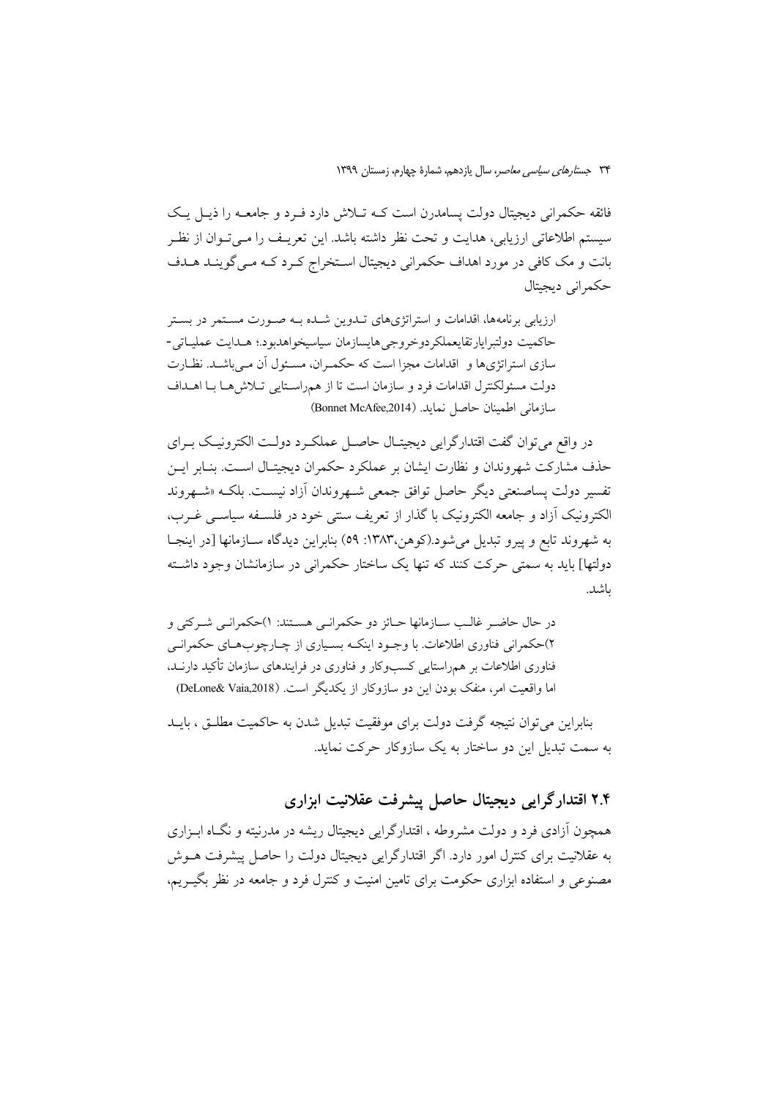فائقه حکمرانی دیجیتال دولت پسامدرن است کــه تــلاش دارد فــرد و جامعــه را ذیــل یــک سيستم اطلاعاتي ارزيابي، هدايت و تحت نظر داشته باشد. اين تعريـف را مـيتـوان از نظـر بانت و مک کافی در مورد اهداف حکمرانی دیجیتال اسـتخراج کـرد کـه مـی گوینـد هـدف حکم انی دیجیتال

ارزیابی برنامهها، اقدامات و استراتژیهای تـدوین شـده بـه صـورت مسـتمر در بسـتر حاكميت دولتبرايارتقايعملكردوخروجي هايسازمان سياسيخواهدبود؛ هـدايت عمليـاتي-سازی استراتژیها و اقدامات مجزا است که حکمـران، مسـئول آن مـی باشـد. نظـارت دولت مسئولكنترل اقدامات فرد و سازمان است تا از همراستايي تلاش هـا بـا اهـداف سازماني اطمينان حاصل نمايد. (Bonnet McAfee,2014)

در واقع مي توان گفت اقتدارگرايي ديجيتـال حاصـل عملكـرد دولـت الكترونيـك بـراي حذف مشاركت شهروندان و نظارت ايشان بر عملكرد حكمران ديجيتـال اسـت. بنـابر ايــن تفسير دولت يساصنعتي ديگر حاصل توافق جمعي شــهروندان آزاد نيســت. بلكــه «شــهروند الكترونيك أزاد و جامعه الكترونيك با گذار از تعريف سنتي خود در فلســفه سياســي غــرب، به شهروند تابع و پيرو تبديل مي شود.(كوهن،١٣٨٣: ٥٩) بنابراين ديدگاه ســازمانها [در اينجــا دولتها] باید به سمتی حرکت کنند که تنها یک ساختار حکمرانی در سازمانشان وجود داشته ىاشد.

در حال حاضـر غالـب ســازمانها حــائز دو حكمرانـي هســتند: ١)حكمرانـي شــركتي و ۲)حکمرانی فناوری اطلاعات. با وجـود اینکـه بسـیاری از چــارچوبهــای حکمرانــی فناوری اطلاعات بر همراستایی کسبوکار و فناوری در فرایندهای سازمان تأکید دارنـد. اما واقعیت امر، منفک بودن این دو سازوکار از یکدیگر است. (DeLone& Vaia,2018)

بنابراین می توان نتیجه گرفت دولت برای موفقیت تبدیل شدن به حاکمیت مطلبق ، بایید به سمت تبدیل این دو ساختار به یک سازوکار حرکت نماید.

# ۲.۴ اقتدار گرایی دیجیتال حاصل پیشرفت عقلانیت ابزاری

همچون آزادی فرد و دولت مشروطه ، اقتدارگرایی دیجیتال ریشه در مدرنیته و نگـاه ابـزاری به عقلانیت برای کنترل امور دارد. اگر اقتدارگرایی دیجیتال دولت را حاصل پیشرفت هــوش مصنوعی و استفاده ابزاری حکومت برای تامین امنیت و کنترل فرد و جامعه در نظر بگیــریم،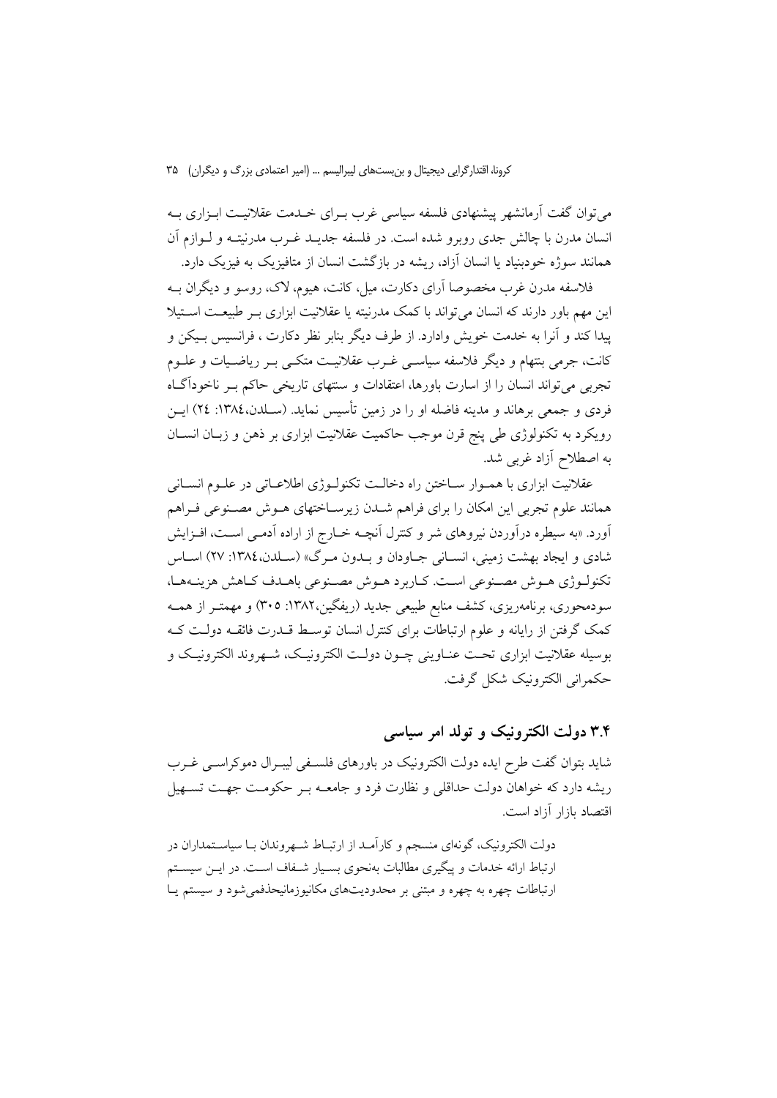می توان گفت آرمانشهر پیشنهادی فلسفه سیاسی غرب بـرای خــدمت عقلانیــت ابـزاری بــه انسان مدرن با چالش جدی روبرو شده است. در فلسفه جدیــد غــرب مدرنیتــه و لــوازم آن همانند سوژه خودبنیاد یا انسان آزاد، ریشه در بازگشت انسان از متافیزیک به فیزیک دارد.

فلاسفه مدرن غرب مخصوصا آرای دکارت، مبل، کانت، هیوم، لاک، روسو و دیگران بـه این مهم باور دارند که انسان میتواند با کمک مدرنیته یا عقلانیت ابزاری بـر طبیعـت اســتیلا پيدا كند و آنرا به خدمت خويش وإدارد. از طرف ديگر بنابر نظر دكارت ، فرانسيس بـيكن و کانت، جرمی بنتهام و دیگر فلاسفه سیاسـی غـرب عقلانیـت متکـی بـر ریاضـیات و علــوم تجربی می تواند انسان را از اسارت باورها، اعتقادات و سنتهای تاریخی حاکم بـر ناخوداًگـاه فردی و جمعی برهاند و مدینه فاضله او را در زمین تأسیس نماید. (سـلدن،١٣٨٤: ٢٤) ایــن رویکرد به تکنولوژی طی پنج قرن موجب حاکمیت عقلانیت ابزاری بر ذهن و زبـان انســان به اصطلاح أزاد غربي شد.

عقلانیت ابزاری با همـوار ســاختن راه دخالــت تکنولــوژی اطلاعــاتی در علــوم انســانی همانند علوم تجربي اين امكان را براي فراهم شـدن زيرسـاختهاي هــوش مصــنوعي فــراهم آورد. «به سیطره درآوردن نیروهای شر و کنترل آنچــه خــارج از اراده آدمــی اســت، افــزایش شادی و ایجاد بهشت زمینی، انسـانی جـاودان و بـدون مـرگ» (سـلدن،١٣٨٤: ٢٧) اسـاس تكنولـوژي هـوش مصـنوعي اسـت. كـاربرد هـوش مصـنوعي باهـدف كـاهش هزينـههـا، سودمحوری، برنامهریزی، کشف منابع طبیعی جدید (ریفگین،۱۳۸۲: ۳۰۵) و مهمتـر از همــه کمک گرفتن از رایانه و علوم ارتباطات برای کنترل انسان توسط قــدرت فائقــه دولــت کــه بوسيله عقلانيت ابزاري تحت عنــاويني چــون دولــت الكترونيــك، شــهروند الكترونيــك و حکمرانی الکترونیک شکل گرفت.

### ۳.۴ دولت الکترونیک و تولد امر سیاسی

شاید بتوان گفت طرح ایده دولت الکترونیک در باورهای فلسـفی لیبـرال دموکراسـبی غـرب ریشه دارد که خواهان دولت حداقلی و نظارت فرد و جامعــه بــر حکومـت جهـت تســهيل اقتصاد بازار آزاد است.

دولت الکترونیک، گونهای منسجم و کارآمـد از ارتبــاط شــهروندان بــا سیاســتمداران در ارتباط ارائه خدمات و پیگیری مطالبات بهنحوی بسـیار شـفاف اسـت. در ایـن سیسـتم ارتباطات چهره به چهره و مبتنی بر محدودیتهای مکانیوزمانیحذفمی شود و سیستم یـا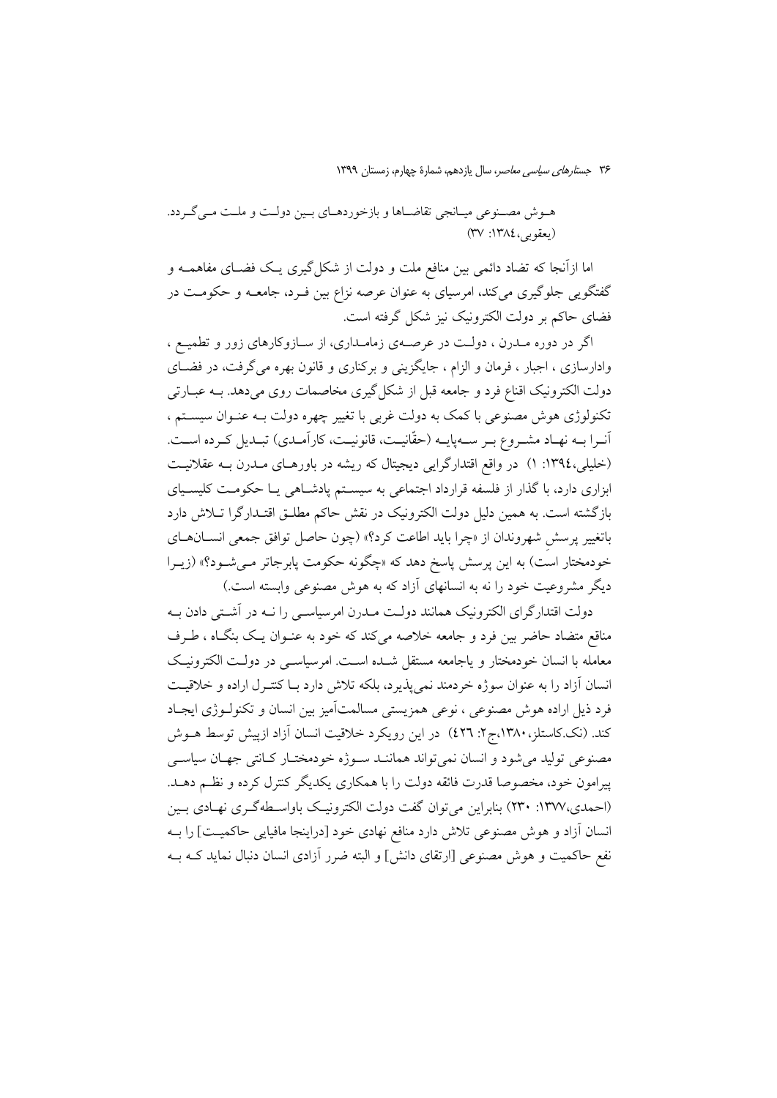هـوش مصـنوعي ميـانجي تقاضـاها و بازخوردهـاي بـين دولـت و ملـت مـي گـردد. (يعقوبي،١٣٨٤: ٣٧)

اما ازآنجا که تضاد دائمی بین منافع ملت و دولت از شکل گیری یـک فضـای مفاهمــه و گفتگویی جلوگیری میکند، امرسیای به عنوان عرصه نزاع بین فـرد، جامعــه و حکومــت در فضای حاکم بر دولت الکترونیک نیز شکل گرفته است.

اگر در دوره مـدرن ، دولـت در عرصـهى زمامـدارى، از سـازوكارهاى زور و تطميـع ، وادارسازی ، اجبار ، فرمان و الزام ، جایگزینی و برکناری و قانون بهره می گرفت، در فضـای دولت الکترونیک اقناع فرد و جامعه قبل از شکل گیری مخاصمات روی میدهد. بــه عبــارتی تکنولوژی هوش مصنوعی با کمک به دولت غربی با تغییر چهره دولت بـه عنـوان سیسـتم ، آنـرا بـه نهـاد مشـروع بـر سـهيايـه (حقّانيـت، قانونيـت، كاراَمـدي) تبـديل كـرده اسـت. (خلیلی،١٣٩٤: ١) در واقع اقتدارگرایی دیجیتال که ریشه در باورهـای مـدرن بـه عقلانیـت ابزاری دارد، با گذار از فلسفه قرارداد اجتماعی به سیستم پادشاهی یـا حکومـت کلیسـیای بازگشته است. به همین دلیل دولت الکترونیک در نقش حاکم مطلـق اقتـدارگرا تــلاش دارد باتغيير يرسش شهروندان از «چرا بايد اطاعت كرد؟» (چون حاصل توافق جمعي انســانهــاي خودمختار است) به این پرسش پاسخ دهد که «چگونه حکومت پابرجاتر مـیشـود؟» (زیـرا دیگر مشروعیت خود را نه به انسانهای آزاد که به هوش مصنوعی وابسته است.)

دولت اقتدارگرای الکترونیک همانند دولت مــدرن امرسیاســی را نــه در آشــتی دادن بــه مناقع متضاد حاضر بین فرد و جامعه خلاصه می کند که خود به عنــوان یــک بنگــاه ، طــرف معامله با انسان خودمختار و ياجامعه مستقل شده است. امرسياسـي در دولـت الكترونيـك انسان آزاد را به عنوان سوژه خردمند نمیپذیرد، بلکه تلاش دارد بـا کنتـرل اراده و خلاقیـت فرد ذیل اراده هوش مصنوعی ، نوعی همزیستی مسالمتآمیز بین انسان و تکنولـوژی ایجـاد کند. (نک کاستلز، ۱۳۸۰،ج۲: ٤٢٦) در این رویکرد خلاقیت انسان آزاد ازپیش توسط هــوش مصنوعی تولید میشود و انسان نمی تواند هماننـد سـوژه خودمختـار کـانتی جهـان سیاسـی پیرامون خود، مخصوصا قدرت فائقه دولت را با همکاری یکدیگر کنترل کرده و نظـم دهــد. (احمدی،١٣٧٧: ٢٣٠) بنابراین می توان گفت دولت الکترونیک باواسطهگری نهادی بـین انسان آزاد و هوش مصنوعی تلاش دارد منافع نهادی خود [دراینجا مافیایی حاکمیت] را بـه نفع حاکمیت و هوش مصنوعی [ارتقای دانش] و البته ضرر آزادی انسان دنبال نماید کـه بــه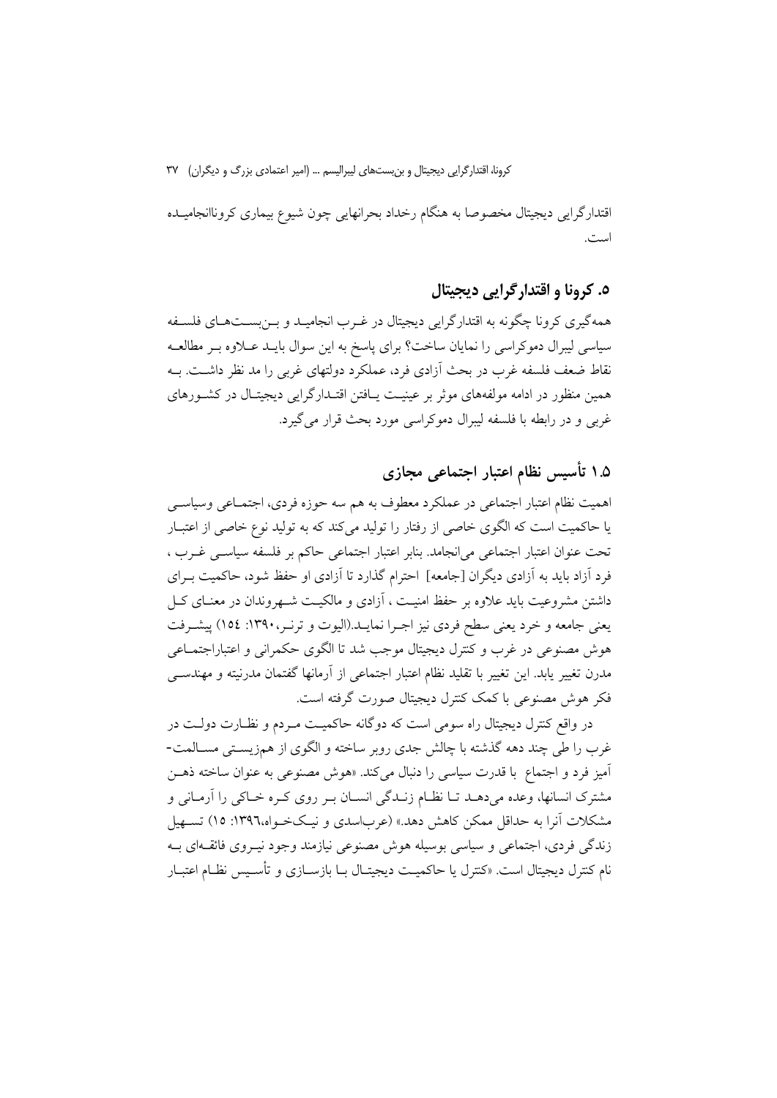اقتدارگرایی دیجیتال مخصوصا به هنگام رخداد بحرانهایی چون شیوع بیماری کروناانجامیـده است.

### ٥. کرونا و اقتدارگرایی دیجیتال

همهگیری کرونا چگونه به اقتدارگرایی دیجیتال در غـرب انجامیـد و بــزیســتهــای فلســفه سیاسی لیبرال دموکراسی را نمایان ساخت؟ برای پاسخ به این سوال بایـد عـلاوه بـر مطالعـه نقاط ضعف فلسفه غرب در بحث اَزادی فرد، عملکرد دولتهای غربی را مد نظر داشـت. بــه همین منظور در ادامه مولفههای موثر بر عینیت پـافتن اقتـدارگرایی دیجیتـال در کشـورهای غړبي و در رابطه با فلسفه ليبرال دموکړاسي مورد بحث قرار مي گيړد.

# ۱.۵ تأسیس نظام اعتبار اجتماعی مجازی

اهمیت نظام اعتبار اجتماعی در عملکرد معطوف به هم سه حوزه فردی، اجتمــاعی وسیاســی یا حاکمیت است که الگوی خاصی از رفتار را تولید میکند که به تولید نوع خاصی از اعتبـار تحت عنوان اعتبار اجتماعی می|نجامد. بنابر اعتبار اجتماعی حاکم بر فلسفه سیاسبی غـرب ، فرد آزاد باید به آزادی دیگران [جامعه] احترام گذارد تا آزادی او حفظ شود، حاکمیت بــرای داشتن مشروعیت باید علاوه بر حفظ امنیـت ، آزادی و مالکیـت شــهروندان در معنــای کــل یعنی جامعه و خرد یعنی سطح فردی نیز اجـرا نمایــد.(الیوت و ترنـر، ۱۳۹۰: ۱۵٤) پیشـرفت هوش مصنوعی در غرب و کنترل دیجیتال موجب شد تا الگوی حکمرانی و اعتباراجتمـاعی مدرن تغییر یابد. این تغییر با تقلید نظام اعتبار اجتماعی از آرمانها گفتمان مدرنیته و مهندســی فکر ہوش مصنوعی با کمک کنترل دیجیتال صورت گرفته است.

در واقع کنترل دیجیتال راه سومی است که دوگانه حاکمیـت مـردم و نظــارت دولـت در غرب را طي چند دهه گذشته با چالش جدي روير ساخته و الگوي از همزيسـتي مســالمت-آميز فرد و اجتماع با قدرت سياسي را دنبال مي كند. «هوش مصنوعي به عنوان ساخته ذهـن مشترک انسانها، وعده میدهـد تــا نظــام زنــدگی انســان بــر روی کــره خــاکی را اَرمــانی و مشکلات آنرا به حداقل ممکن کاهش دهد.» (عرباسدی و نیـکخـواه،۱۳۹٦: ۱۵) تســهیل زندگی فردی، اجتماعی و سیاسی بوسیله هوش مصنوعی نیازمند وجود نیـروی فائقـهای بـه نام کنترل دیجیتال است. «کنترل یا حاکمیـت دیجیتـال بــا بازســازی و تأســیس نظــام اعتبــار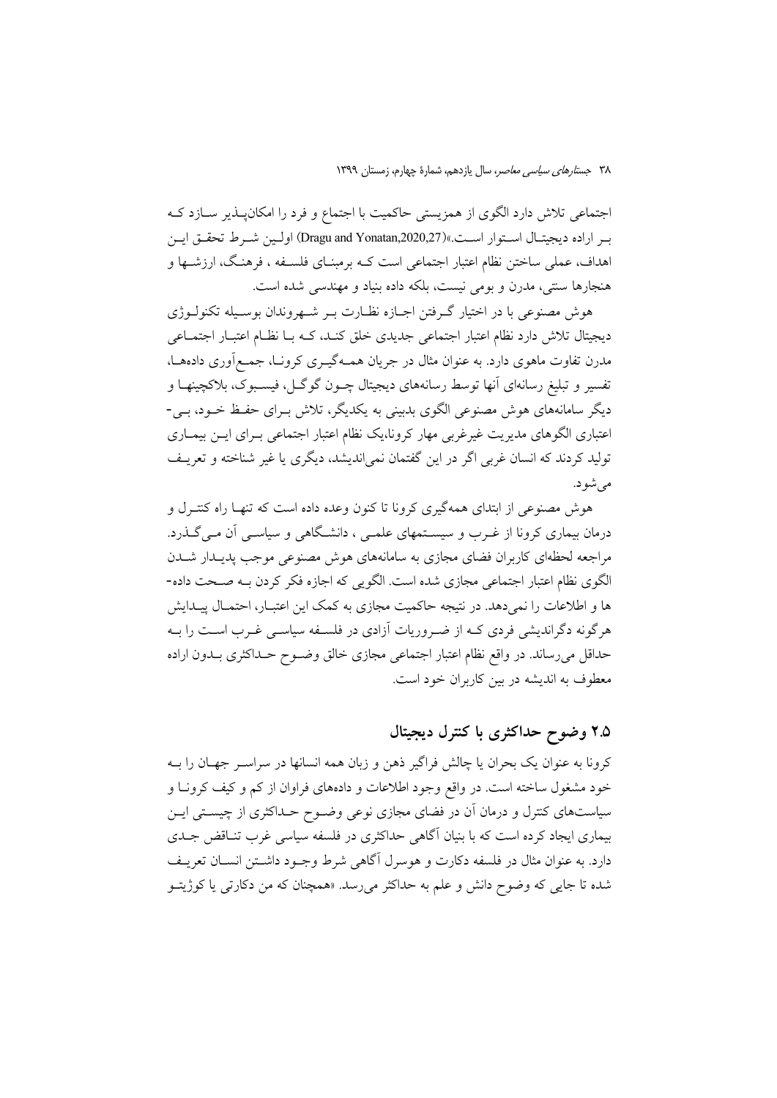اجتماعی تلاش دارد الگوی از همزیستی حاکمیت با اجتماع و فرد را امکانپـذیر ســازد کــه به اراده ديجيتـال اسـتوار اسـت.»(Dragu and Yonatan,2020,27) اولـين شـرط تحقـق ايـن اهداف، عملی ساختن نظام اعتبار اجتماعی است کــه برمبنــای فلســفه ، فرهنـگ، ارزشــها و هنجارها سنتي، مدرن و بومي نيست، بلكه داده بنياد و مهندسي شده است.

هوش مصنوعي با در اختيار گـرفتن اجـازه نظـارت بـر شـهروندان بوسـيله تكنولــوژي دیجیتال تلاش دارد نظام اعتبار اجتماعی جدیدی خلق کنـد، کـه بـا نظـام اعتبـار اجتمـاعی مدرن تفاوت ماهوی دارد. به عنوان مثال در جریان همـهگیـری کرونـا، جمـع|وری دادههـا، تفسیر و تبلیغ رسانهای آنها توسط رسانههای دیجیتال چــون گوگــل، فیســبوک، بلاکچینهـا و دیگر سامانههای هوش مصنوعی الگوی بدبینی به یکدیگر، تلاش بـرای حفـظ خــود، بــی-اعتباری الگوهای مدیریت غیرغربی مهار کرونا،یک نظام اعتبار اجتماعی بـرای ایــن بیمــاری تولید کردند که انسان غربی اگر در این گفتمان نمی اندیشد، دیگری یا غیر شناخته و تعریـف می شو د.

هوش مصنوعی از ابتدای همهگیری کرونا تا کنون وعده داده است که تنهـا راه کنتـرل و درمان بیماری کرونا از غـرب و سیسـتمهای علمـی ، دانشـگاهی و سیاسـی آن مـیگـذرد. مراجعه لحظهای کاربران فضای مجازی به سامانههای هوش مصنوعی موجب پدیـدار شـدن الگوی نظام اعتبار اجتماعی مجازی شده است. الگویی که اجازه فکر کردن بـه صـحت داده-ها و اطلاعات را نمی دهد. در نتیجه حاکمیت مجازی به کمک این اعتبـار، احتمـال پیـدایش هرگونه دگراندیشی فردی کـه از ضـروریات آزادی در فلسـفه سیاسـی غـرب اسـت را بـه حداقل می رساند. در واقع نظام اعتبار اجتماعی مجازی خالق وضـوح حـداکثری بـدون اراده معطوف به اندیشه در بین کاربران خود است.

# ۲.۵ وضوح حداکثری با کنترل دیجیتال

کرونا به عنوان یک بحران یا چالش فراگیر ذهن و زبان همه انسانها در سراسـر جهـان را بــه خود مشغول ساخته است. در واقع وجود اطلاعات و دادههای فراوان از کم و کیف کرونـا و سیاستهای کنترل و درمان آن در فضای مجازی نوعی وضـوح حـداکثری از چیسـتی ایــن بیماری ایجاد کرده است که با بنیان آگاهی حداکثری در فلسفه سیاسی غرب تنـاقض جـدی دارد. به عنوان مثال در فلسفه دکارت و هوسرل آگاهی شرط وجـود داشــتن انســان تعریــف شده تا جای<sub>بی</sub> که وضوح دانش و علم به حداکثر میرسد. «همچنان که من دکارت<sub>ی</sub> یا کوژیتـو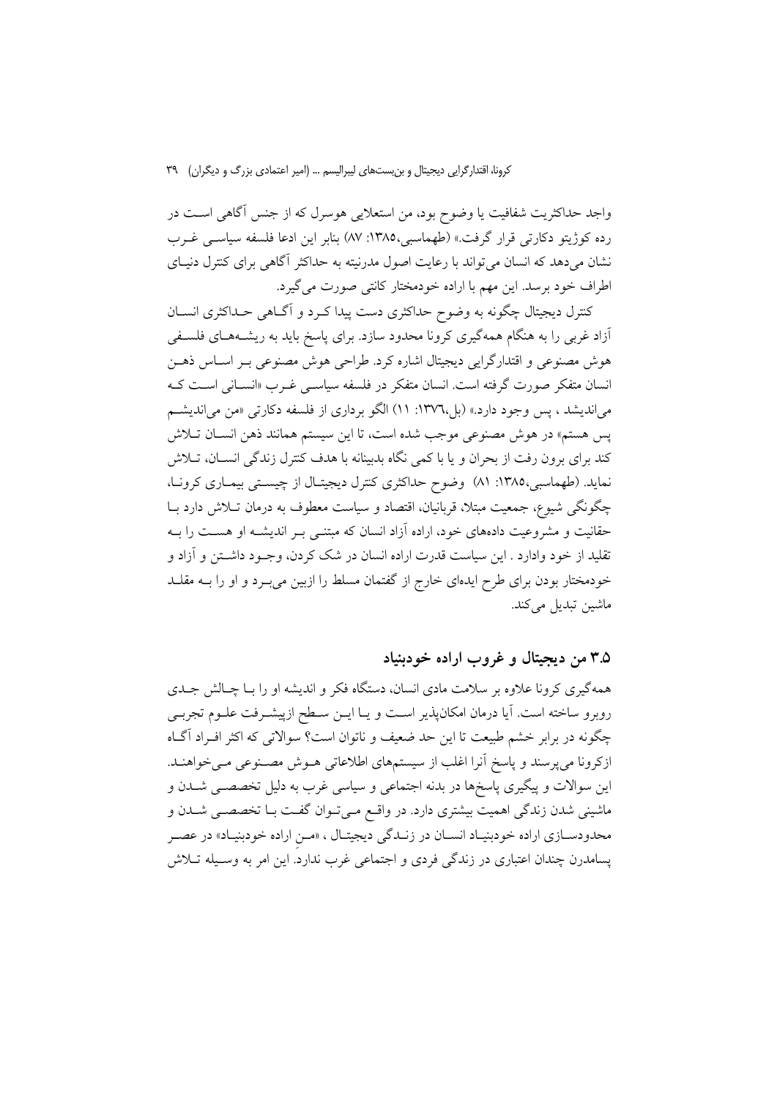واجد حداکثریت شفافیت یا وضوح بود، من استعلایی هوسرل که از جنس آگاهی اســت در رده كوژيتو دكارتي قرار گرفت.» (طهماسبي،١٣٨٥: ٨٧) بنابر اين ادعا فلسفه سياسـي غــرب نشان میدهد که انسان می تواند با رعایت اصول مدرنیته به حداکثر آگاهی برای کنترل دنیـای اطراف خود برسد. این مهم با اراده خودمختار کانتی صورت می گیرد.

کنترل دیجیتال چگونه به وضوح حداکثری دست پیدا کـرد و آگــاهی حــداکثری انســان آزاد غربی را به هنگام همهگیری کرونا محدود سازد. برای یاسخ باید به ریشـههـای فلسـفی هوش مصنوعي و اقتدارگرايي ديجيتال اشاره كرد. طراحي هوش مصنوعي بـر اسـاس ذهـن انسان متفکر صورت گرفته است. انسان متفکر در فلسفه سیاس<sub>عی</sub> غـرب «انسـانی اسـت کـه می اندیشد ، پس وجود دارد.» (بل،۱۳۷٦: ۱۱) الگو برداری از فلسفه دکارتی «من می اندیشم پس هستم» در هوش مصنوعی موجب شده است، تا این سیستم همانند ذهن انسـان تـلاش کند برای برون رفت از بحران و یا با کمی نگاه بدبینانه با هدف کنترل زندگی انسـان، تـلاش نماید. (طهماسبی،۱۳۸۵: ۸۱) وضوح حداکثری کنترل دیجیتال از چیستی بیمـاری کرونـا، چگونگی شیوع، جمعیت مبتلا، قربانیان، اقتصاد و سیاست معطوف به درمان تـلاش دارد بـا حقانیت و مشروعیت دادههای خود، اراده آزاد انسان که مبتنـی بـر اندیشـه او هسـت را بـه تقلید از خود وادارد . این سیاست قدرت اراده انسان در شک کردن، وجــود داشــتن و آزاد و خودمختار بودن برای طرح ایدهای خارج از گفتمان مسلط را ازبین میبرد و او را بـه مقلــد ماشین تبدیل میکند.

## ۳.۵ من ديجيتال و غروب اراده خودبنياد

همهگیری کرونا علاوه بر سلامت مادی انسان، دستگاه فکر و اندیشه او را بــا چــالش جــدی روبرو ساخته است. آیا درمان امکانپذیر اسـت و یـا ایــن ســطح ازپیشــرفت علــوم تجربــی چگونه در برابر خشم طبیعت تا این حد ضعیف و ناتوان است؟ سوالاتی که اکثر افـراد آگــاه ازکرونا می پرسند و پاسخ آنرا اغلب از سیستمهای اطلاعاتی هـوش مصـنوعی مـی خواهنـد. این سوالات و پیگیری پاسخها در بدنه اجتماعی و سیاسی غرب به دلیل تخصصـی شــدن و ماشینی شدن زندگی اهمیت بیشتری دارد. در واقـع مـیتـوان گفـت بـا تخصصـی شــدن و محدودسـازي اراده خودبنيـاد انسـان در زنـدگي ديجيتـال ، «مـن اراده خودبنيـاد» در عصـر پسامدرن چندان اعتباری در زندگی فردی و اجتماعی غرب ندارد. این امر به وسـیله تــلاش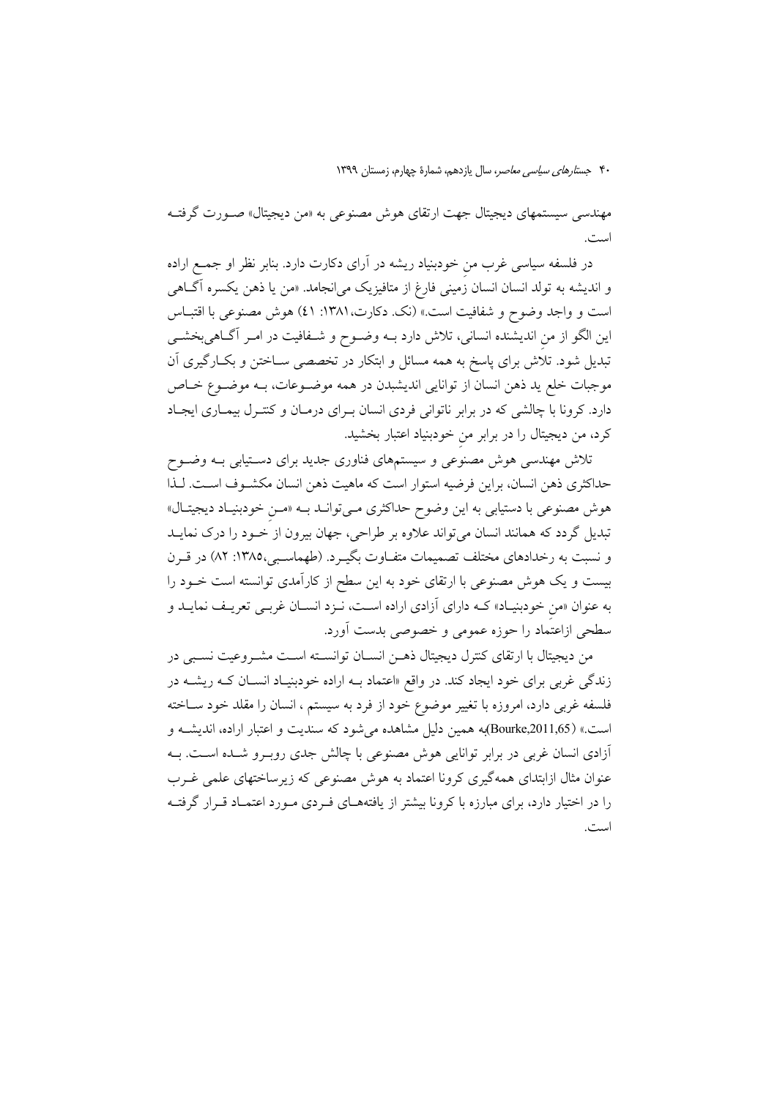مهندسی سیستمهای دیجیتال جهت ارتقای هوش مصنوعی به «من دیجیتال» صـورت گرفتـه است.

در فلسفه سیاسی غرب من خودبنیاد ریشه در آرای دکارت دارد. بنابر نظر او جمع اراده و اندیشه به تولد انسان انسان زمینی فارغ از متافیزیک میانجامد. «من یا ذهن یکسره آگ**اه**ی است و واجد وضوح و شفافيت است.» (نك. دكارت، ١٣٨١: ٤١) هوش مصنوعي با اقتبـاس این الگو از من اندیشنده انسانی، تلاش دارد بـه وضـوح و شـفافیت در امـر آگـاهی بخشـی تبدیل شود. تلاش برای پاسخ به همه مسائل و ابتکار در تخصصی ســاختن و بکــارگیری آن موجبات خلع ید ذهن انسان از توانایی اندیشبدن در همه موضـوعات، بـه موضـوع خـاص دارد. کرونا با چالشی که در برابر ناتوانی فردی انسان بـرای درمـان و کنتـرل بیمـاری ایجـاد کرد، من دیجیتال را در برابر من خودبنیاد اعتبار بخشید.

تلاش مهندسی هوش مصنوعی و سیستمهای فناوری جدید برای دسـتیابی بــه وضــوح حداکثری ذهن انسان، براین فرضیه استوار است که ماهیت ذهن انسان مکشـوف اسـت. لـذا هوش مصنوعی با دستیابی به این وضوح حداکثری مـیتوانـد بــه «مـن خودبنیـاد دیجیتـال» تبدیل گردد که همانند انسان میتواند علاوه بر طراحی، جهان بیرون از خـود را درک نمایــد و نسبت به رخدادهای مختلف تصمیمات متفـاوت بگیـرد. (طهماسـبی،١٣٨٥: ٨٢) در قـرن بیست و یک هوش مصنوعی با ارتقای خود به این سطح از کارآمدی توانسته است خـود را به عنوان «من خودبنیـاد» کـه دارای آزادی اراده اسـت، نـزد انسـان غربـی تعریـف نمایـد و سطحی ازاعتماد را حوزه عمومی و خصوصی بدست آورد.

من ديجيتال با ارتقاى كنترل ديجيتال ذهـن انسـان توانســته اسـت مشـروعيت نسـبي در زندگی غربی برای خود ایجاد کند. در واقع «اعتماد بـه اراده خودبنیـاد انسـان کـه ریشــه در فلسفه غربی دارد، امروزه با تغییر موضوع خود از فرد به سیستم ، انسان را مقلد خود ســاخته است.» (Bourke,2011,65)به همین دلیل مشاهده می شود که سندیت و اعتبار اراده، اندیشـه و أزادي انسان غربي در برابر توانايي هوش مصنوعي با چالش جدي روبـرو شــده اسـت. بــه عنوان مثال ازابتدای همهگیری کرونا اعتماد به هوش مصنوعی که زیرساختهای علمی غـرب را در اختیار دارد، برای مبارزه با کرونا بیشتر از یافتههــای فــردی مــورد اعتمــاد قــرار گرفتــه است.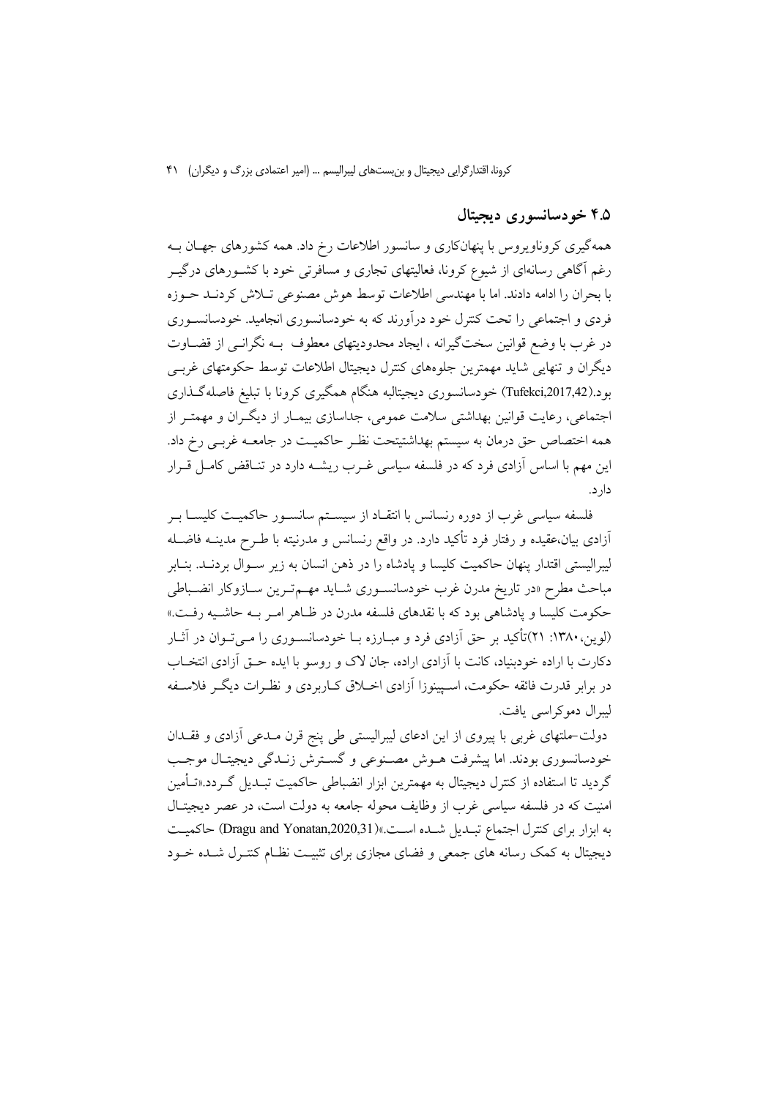#### ۴.۵ خودسانسوري ديجيتال

همهگیری کروناویروس با پنهانکاری و سانسور اطلاعات رخ داد. همه کشورهای جهـان بــه رغم آگاهی رسانهای از شیوع کرونا، فعالیتهای تجاری و مسافرتی خود با کشـورهای درگیـر یا بحران را ادامه دادند. اما با مهندسی اطلاعات توسط هوش مصنوعی تبلاش کردنید جبوزه فردی و اجتماعی را تحت کنترل خود درآورند که به خودسانسوری انجامید. خودسانســوری در غرب با وضع قوانین سختگیرانه ، ایجاد محدودیتهای معطوف بـه نگرانـی از قضـاوت دیگران و تنهایی شاید مهمترین جلوههای کنترل دیجیتال اطلاعات توسط حکومتهای غربے بود.(Tufekci,2017,42) خودسانسوری دیجیتالبه هنگام همگیری کرونا با تبلیغ فاصلهگـذاری اجتماعی، رعایت قوانین بهداشتی سلامت عمومی، جداسازی بیمـار از دیگـران و مهمتـر از همه اختصاص حق درمان به سیستم بهداشتیتحت نظـر حاکمیـت در جامعــه غربـی رخ داد. این مهم با اساس آزادی فرد که در فلسفه سیاسی غـرب ریشــه دارد در تنــاقض کامــل قــرار دار د.

فلسفه سیاسی غرب از دوره رنسانس با انتقـاد از سیســتم سانســور حاکمیــت کلیســا بــر آزادی بیان،عقیده و رفتار فرد تأکید دارد. در واقع رنسانس و مدرنیته با طـرح مدینــه فاضــله ليبراليستي اقتدار ينهان حاكميت كليسا و يادشاه را در ذهن انسان به زير ســوال بردنــد. بنــابر مباحث مطرح «در تاريخ مدرن غرب خودسانسـوري شـايد مهـمتـرين سـازوكار انضـباطي حکومت کلیسا و یادشاهی بود که با نقدهای فلسفه مدرن در ظـاهر امـر بـه حاشـیه رفـت.» (لوین، ۱۳۸۰: ۲۱)تأکید بر حق آزادی فرد و مبـارزه بـا خودسانسـوری را مـی تـوان در آثـار دکارت با اراده خودبنیاد، کانت با آزادی اراده، جان لاک و روسو با ایده حـق اَزادی انتخـاب در برابر قدرت فائقه حکومت، اسـپینوزا آزادی اخــلاق کــاربردی و نظــرات دیگــر فلاســفه ليبرال دموكراسي يافت.

دولت-ملتهای غربی با پیروی از این ادعای لیبرالیستی طی پنج قرن مـدعی آزادی و فقـدان خودسانسوری بودند. اما پیشرفت هــوش مصــنوعی و گسـترش زنــدگی دیجیتـال موجــب گردید تا استفاده از کنترل دیجیتال به مهمترین ابزار انضباطی حاکمیت تبـدیل گـردد.«تــأمین امنیت که در فلسفه سیاسی غرب از وظایف محوله جامعه به دولت است، در عصر دیجیتـال به ابزار برای کنترل اجتماع تبلدیل شده است.»(Dragu and Yonatan,2020,31) حاکمیت دیجیتال به کمک رسانه های جمعی و فضای مجازی برای تثبیت نظـام کنتـرل شـده خــود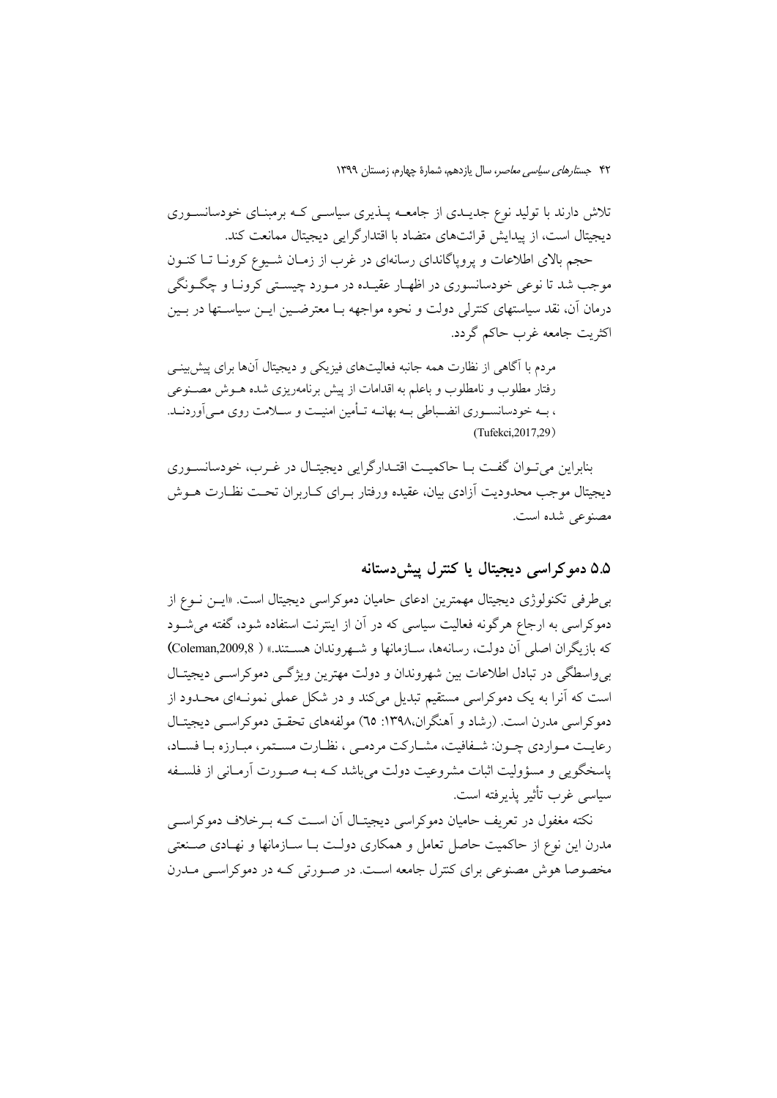تلاش دارند با تولید نوع جدیــدی از جامعــه پــذیری سیاســی کــه برمبنــای خودسانســوری دیجیتال است، از پیدایش قرائتهای متضاد با اقتدارگرایی دیجیتال ممانعت کند.

حجم بالای اطلاعات و پروپاگاندای رسانهای در غرب از زمـان شـیوع کرونـا تـا کنـون موجب شد تا نوعي خودسانسوري در اظهـار عقيـده در مـورد چيســتي كرونــا و چگــونگي درمان آن، نقد سیاستهای کنترلی دولت و نحوه مواجهه بـا معترضـین ایــن سیاسـتها در بــین اکثریت جامعه غرب حاکم گردد.

مردم با آگاهی از نظارت همه جانبه فعالیتهای فیزیکی و دیجیتال آنها برای پیش بینبی رفتار مطلوب و نامطلوب و باعلم به اقدامات از پیش برنامهریزی شده هــوش مصــنوعی ، بــه خودسانســوري انضــباطي بــه بهانــه تــأمين امنيــت و ســـلامت روي مــي[وردنــد. (Tufekci.2017.29)

بنابراین می تبوان گفت بیا حاکمیت اقتبدار گرایی دیجیتیال در غیرب، خودسانسبوری دیجیتال موجب محدودیت آزادی بیان، عقیده ورفتار بـرای کــاربران تحــت نظــارت هــوش مصنوعي شده است.

## ۵.۵ دمو کر اسی دیجیتال یا کنترل پیش دستانه

بی طرفی تکنولوژی دیجیتال مهمترین ادعای حامیان دموکراسی دیجیتال است. «ایـن نـوع از دموکراسی به ارجاع هرگونه فعالیت سیاسی که در آن از اینترنت استفاده شود، گفته می شـود كه بازيگران اصلي آن دولت، رسانهها، ســازمانها و شــهروندان هســتند.» ( @Coleman,2009,8) بی واسطگی در تبادل اطلاعات بین شهروندان و دولت مهترین ویژگی دموکراسبی دیجیتـال است که آنرا به یک دموکراسی مستقیم تبدیل می کند و در شکل عملی نمونـهای محـدود از دمو کراسی مدرن است. (رشاد و آهنگران،۱۳۹۸: ٦٥) مولفههای تحقیق دموکراسی دیجیتـال رعایت مـواردی چـون: شـفافیت، مشـارکت مردمـی ، نظـارت مسـتمر، مبـارزه بـا فسـاد، پاسخگویی و مسؤولیت اثبات مشروعیت دولت می باشد کـه بـه صـورت آرمـانی از فلســفه سیاسے غرب تأثیر پذیرفته است.

نکته مغفول در تعریف حامیان دموکراسی دیجیتـال آن اسـت کـه بـرخلاف دموکراسـی مدرن این نوع از حاکمیت حاصل تعامل و همکاری دولت بـا ســازمانها و نهـادی صــنعتی مخصوصا هوش مصنوعی برای کنترل جامعه است. در صورتی کـه در دموکراسـی مـدرن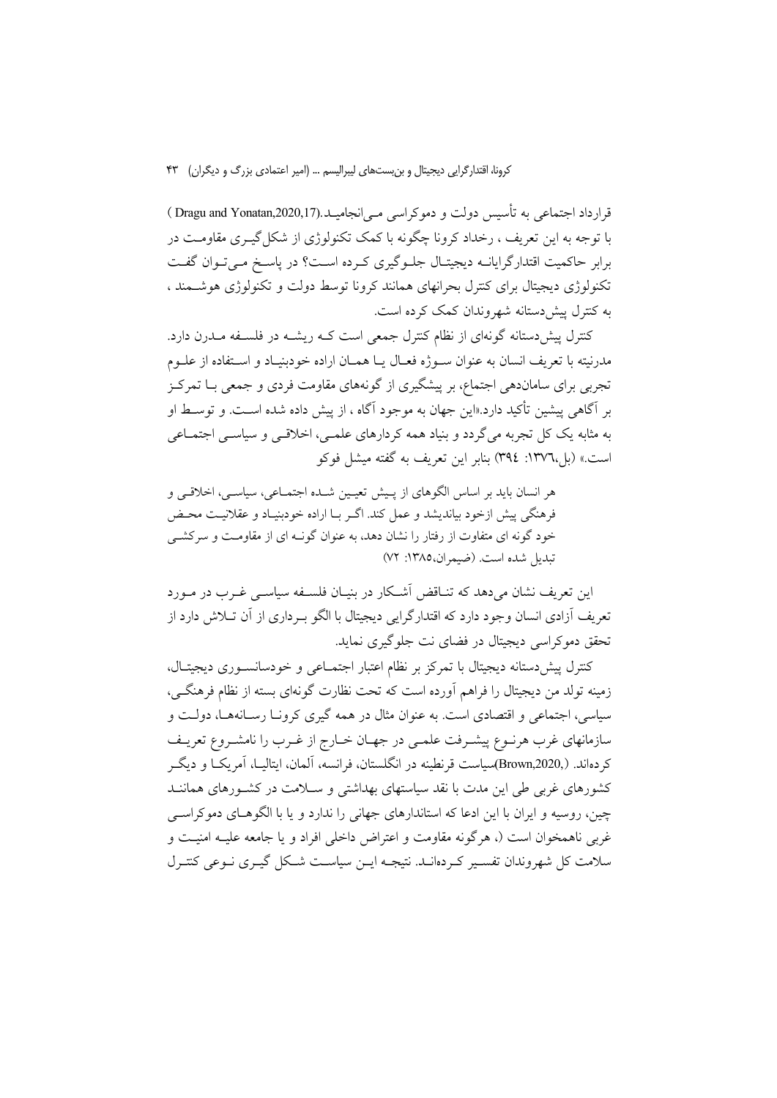قرارداد اجتماعی به تأسیس دولت و دموکراسی مے انجامیــا.(Dragu and Yonatan,2020,17 ) با توجه به این تعریف ، رخداد کرونا چگونه با کمک تکنولوژی از شکل گیــری مقاومــت در برابر حاكميت اقتدارگرايانــه ديجيتـال جلــوگيري كــرده اســت؟ در پاسـخ مــيتـوان گفــت تکنولوژی دیجیتال برای کنترل بحرانهای همانند کرونا توسط دولت و تکنولوژی هوشـمند ، به کنترل پیش دستانه شهروندان کمک کرده است.

کنترل پیش دستانه گونهای از نظام کنترل جمعی است کـه ریشــه در فلســفه مــدرن دارد. مدرنيته با تعريف انسان به عنوان سـوژه فعـال يـا همـان اراده خودبنيـاد و اسـتفاده از علــوم تجربی برای ساماندهی اجتماع، بر پیشگیری از گونههای مقاومت فردی و جمعی بــا تمرکــز بر آگاهی پیشین تأکید دارد.«این جهان به موجود آگاه ، از پیش داده شده اسـت. و توسـط او به مثابه یک کل تجربه می گردد و بنیاد همه کردارهای علمـی، اخلاقـی و سیاسـی اجتمــاعی است.» (بل،١٣٧٦: ٣٩٤) بنابر اين تعريف به گفته ميشل فوكو

هر انسان بايد بر اساس الگوهاي از پيش تعيين شـده اجتمـاعي، سياسـي، اخلاقـي و فرهنگي پيش ازخود بيانديشد و عمل كند. اگـر بــا اراده خودبنيــاد و عقلانيــت محــض خود گونه ای متفاوت از رفتار را نشان دهد، به عنوان گونـه ای از مقاومـت و سركشـی تبديل شده است. (ضيمران، ١٣٨٥: ٧٢)

این تعریف نشان می دهد که تنــاقض اَشــکار در بنیــان فلســفه سیاســی غــرب در مــورد تعریف اَزادی انسان وجود دارد که اقتدارگرایی دیجیتال با الگو بــرداری از اَن تــلاش دارد از تحقق دموکراسی دیجیتال در فضای نت جلوگیری نماید.

كنترل پيش دستانه ديجيتال با تمركز بر نظام اعتبار اجتمــاعي و خودسانســوري ديجيتــال، زمینه تولد من دیجیتال را فراهم آورده است که تحت نظارت گونهای بسته از نظام فرهنگے ٍ، سیاسی، اجتماعی و اقتصادی است. به عنوان مثال در همه گیری کرونـا رسـانههـا، دولـت و سازمانهای غرب هرنــوع پیشــرفت علمــی در جهــان خــارج از غــرب را نامشــروع تعریــف کردهاند. (Brown,2020,)سیاست قرنطینه در انگلستان، فرانسه، آلمان، ایتالیــا، آمریکــا و دیگــر کشورهای غربی طی این مدت با نقد سیاستهای بهداشتی و سـلامت در کشـورهای هماننــد چین، روسیه و ایران با این ادعا که استاندارهای جهانی را ندارد و یا با الگوهـای دموکراســی غربی ناهمخوان است (، هرگونه مقاومت و اعتراض داخلی افراد و یا جامعه علیـه امنیــت و سلامت کل شهروندان تفسیر کردهانــد. نتیجــه ایــن سیاســت شــکل گیــری نــوعی کنتــرل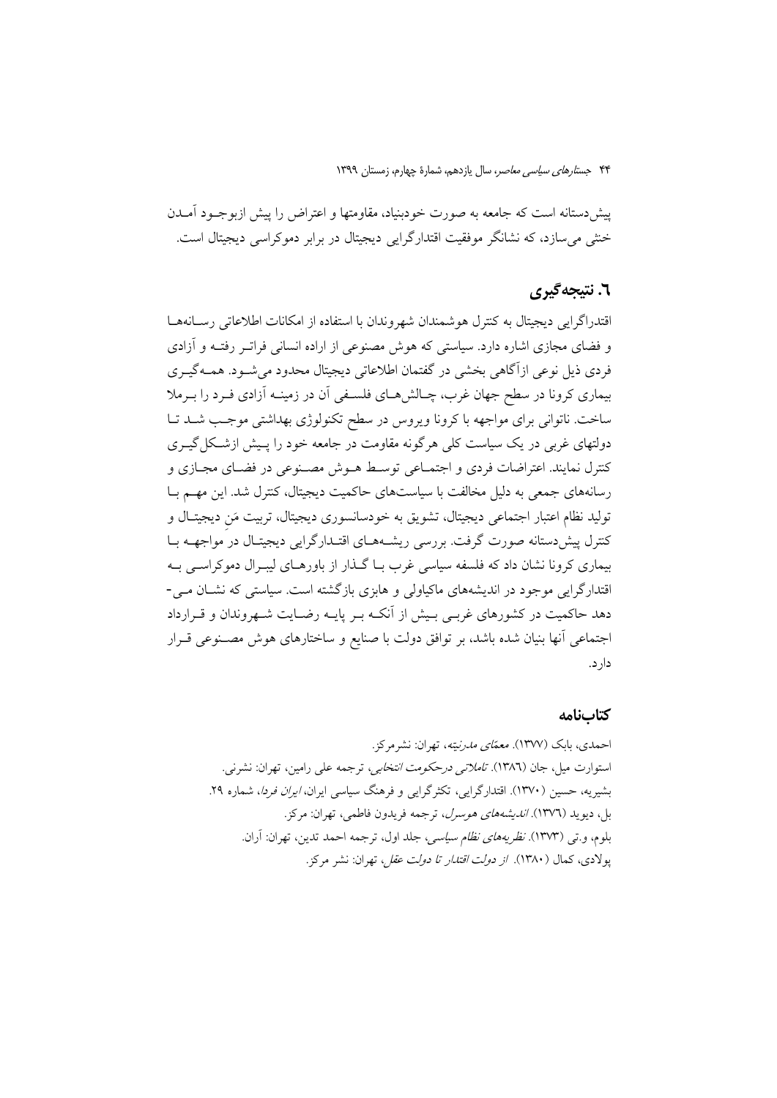پیش دستانه است که جامعه به صورت خودبنیاد، مقاومتها و اعتراض را پیش ازبوجـود آمــدن خشی می سازد، که نشانگر موفقیت اقتدارگرایی دیجیتال در برابر دموکراسی دیجیتال است.

# ٦. نتيجه گيري

اقتدراگرايي ديجيتال به كنترل هوشمندان شهروندان با استفاده از امكانات اطلاعاتي رسـانههـا و فضای مجازی اشاره دارد. سیاستی که هوش مصنوعی از اراده انسانی فرات رفتـه و آزادی فردي ذيل نوعي ازآگاهي بخشي در گفتمان اطلاعاتي ديجيتال محدود مي شـود. همــهگيــري بیماری کرونا در سطح جهان غرب، چـالش۵مـای فلسـفی آن در زمینــه آزادی فــرد را بــرملا ساخت. ناتوانی برای مواجهه با کرونا ویروس در سطح تکنولوژی بهداشتی موجب شـد تـا دولتهای غربی در یک سیاست کلی هرگونه مقاومت در جامعه خود را پـیش ازشـکل گیـری كنترل نمايند. اعتراضات فردي و اجتمـاعي توسـط هــوش مصـنوعي در فضـاي مجـازي و رسانههای جمعی به دلیل مخالفت با سیاستهای حاکمیت دیجیتال، کنترل شد. این مهـم بــا توليد نظام اعتبار اجتماعي ديجيتال، تشويق به خودسانسوري ديجيتال، تربيت مَن ديجيتـال و کنترل پیش دستانه صورت گرفت. بررسی ریشـههـای اقتـدارگرایی دیجیتـال در مواجهــه بـا بیماری کرونا نشان داد که فلسفه سیاسی غرب بـا گــذار از باورهــای لیبـرال دموکراســی بـه اقتدارگرایی موجود در اندیشههای ماکیاولی و هابزی بازگشته است. سیاستی که نشـان مـی-دهد حاکمیت در کشورهای غربـی بـیش از اَنکـه بـر پایـه رضـایت شـهروندان و قـرارداد اجتماعی آنها بنیان شده باشد، بر توافق دولت با صنایع و ساختارهای هوش مصـنوعی قـرار دار د.

#### كتابنامه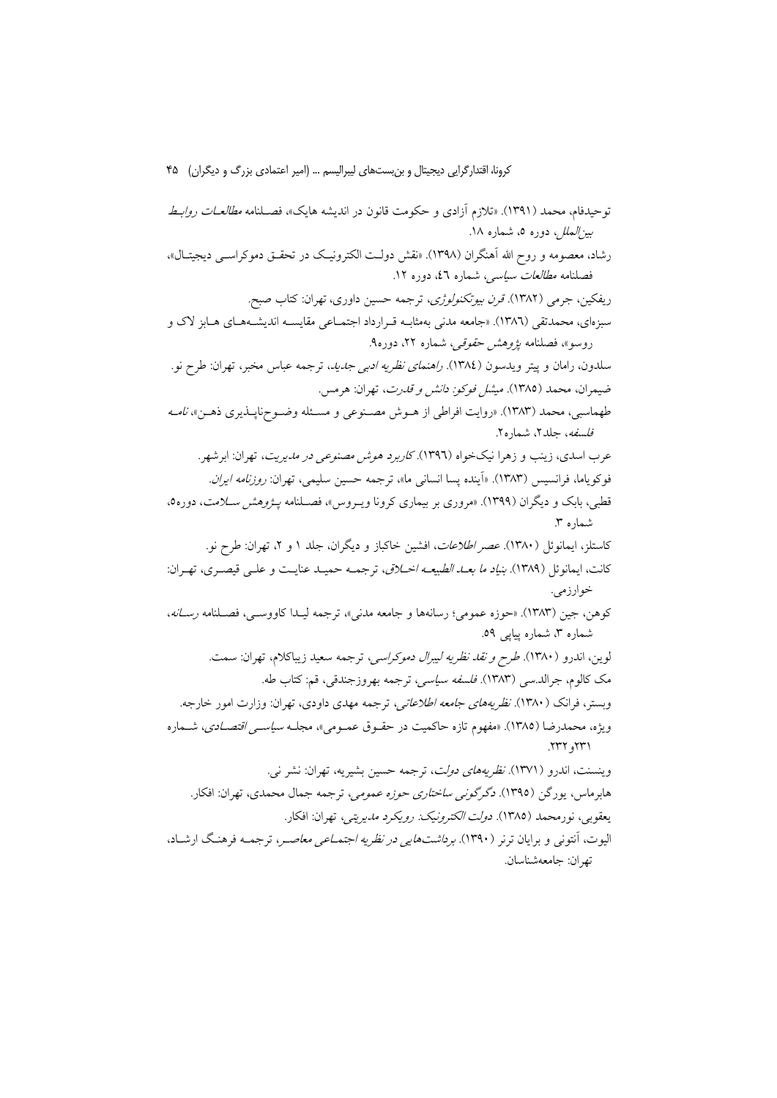توحيدفام، محمد (١٣٩١). «تلازم أزادي و حكومت قانون در انديشه هايك»، فصـلنامه *مطالعــات روابــط بینالملل، دو*ره ٥، شماره ١٨. رشاد، معصومه و روح الله آهنگران (۱۳۹۸). «نقش دولت الکترونیک در تحقـق دموکراســي دیجیتــال»، فصلنامه *مطالعات سیاسی،* شماره ٤٦، دوره ١٢. ريفكين، جرمي (١٣٨٢). *قرن بيوتكنولوژي*، ترجمه حسين داوري، تهران: كتاب صبح. سبزمای، محمدتقی (۱۳۸٦). «جامعه مدنی بهمثابـه قـرارداد اجتمــاعی مقایســه اندیشــههــای هــابز لاک و روسو»، فصلنامه *پژوهش حقوقی،* شماره ۲۲، دوره۹. سلدون، رامان و پیتر ویدسون (١٣٨٤). *راهنمای نظریه ادبی جدید،* ترجمه عباس مخبر، تهران: طرح نو. ضيمران، محمد (١٣٨٥). *ميشل فوكو: دانش و قدرت*، تهران: هرمس. طهماسبي، محمد (١٣٨٣). «روايت افراطي از هـوش مصـنوعي و مسـئله وضـوحناپـذيري ذهـن»، *نامـه فلسفه*، جلد۲، شماره۲. عرب اسدي، زينب و زهرا نيکخواه (١٣٩٦). *کاربرد هوش مصنوعي در مديريت*، تهران: ابرشهر. فوكوياما، فرانسيس (١٣٨٣). «آينده يسا انساني ما»، ترجمه حسين سليمي، تهران: *روزنامه ايران.* قطبی، بابک و دیگران (۱۳۹۹). «مروری بر بیماری کرونا ویـروس»، فصــلنامه *یــژوهش ســلامت*، دوره0، شماره ۳. کاستلز، ایمانوئل (۱۳۸۰). *عصر اطلاعات*، افشین خاکباز و دیگران، جلد ۱ و ۲، تهران: طرح نو. كانت، ايمانوئل (١٣٨٩). *بنياد ما بعـد الطبيعـه اخـلاق*، ترجمـه حميـد عنايـت و علـى قيصـرى، تهـران: خوارزمي. كوهن، جين (١٣٨٣). «حوزه عمومي؛ رسانهها و جامعه مدنى»، ترجمه ليـدا كاووســي، فصـلنامه رســانه، شماره ۳، شماره پیاپی ٥٩. لوين، اندرو (١٣٨٠). *طرح و نقد نظريه ليبرال دموكراسي،* ترجمه سعيد زيباكلام، تهران: سمت. مک کالوم، جرالد.سي (١٣٨٣). *فلسفه سياسي،* ترجمه بهروزجندقي، قم: کتاب طه. وبستر، فرانک (۱۳۸۰). *نظریههای جامعه اطلاعاتی،* ترجمه مهدی داودی، تهران: وزارت امور خارجه. ويژه، محمدرضا (١٣٨٥). «مفهوم تازه حاكميت در حقــوق عمــومي»، مجلــه *سياســي اقتصــادي*، شــماره ٢٣٢, ٢٣٢. وينسنت، اندرو (١٣٧١). *نظريههاى دولت*، ترجمه حسين بشيريه، تهران: نشر ني. هابرماس، يورگن (١٣٩٥). دگرگونبي س*اختاري حوزه عمومي*، ترجمه جمال محمدي، تهران: افكار. يعقوبي، نورمحمد (١٣٨٥). *دولت الكترونيك: رويكرد مديريتي،* تهران: افكار. اليوت، آنتوني و برايان ترنر (١٣٩٠). *برداشتهايي در نظريه اجتمــاعي معاصــر*، ترجمــه فرهنـگ ارشــاد، تهران: جامعهشناسان.